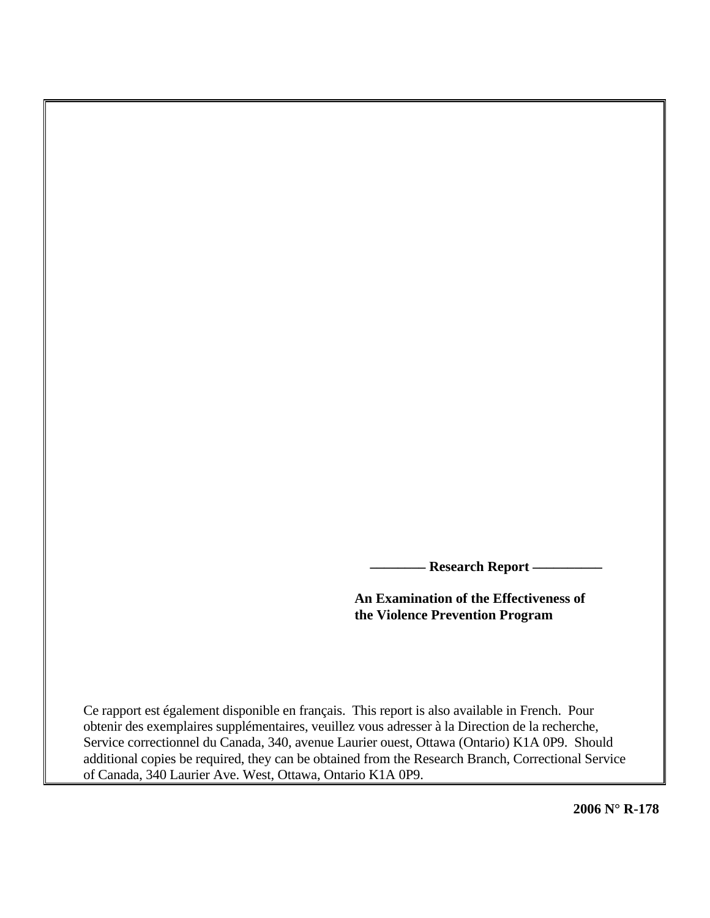**Research Report -**

**An Examination of the Effectiveness of the Violence Prevention Program** 

Ce rapport est également disponible en français. This report is also available in French. Pour obtenir des exemplaires supplémentaires, veuillez vous adresser à la Direction de la recherche, Service correctionnel du Canada, 340, avenue Laurier ouest, Ottawa (Ontario) K1A 0P9. Should additional copies be required, they can be obtained from the Research Branch, Correctional Service of Canada, 340 Laurier Ave. West, Ottawa, Ontario K1A 0P9.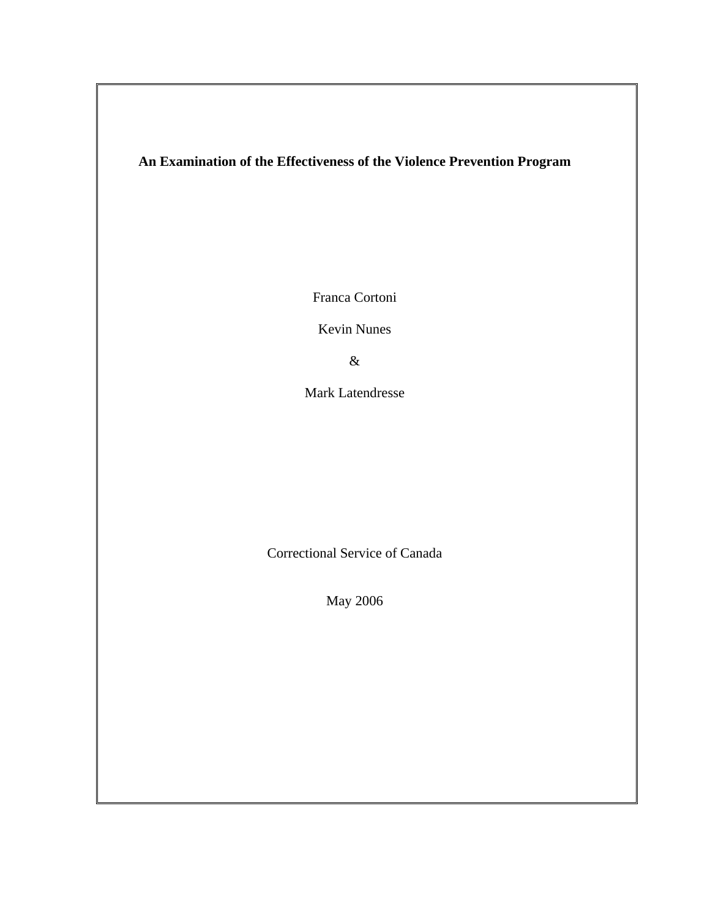### **An Examination of the Effectiveness of the Violence Prevention Program**

Franca Cortoni

Kevin Nunes

&

Mark Latendresse

Correctional Service of Canada

May 2006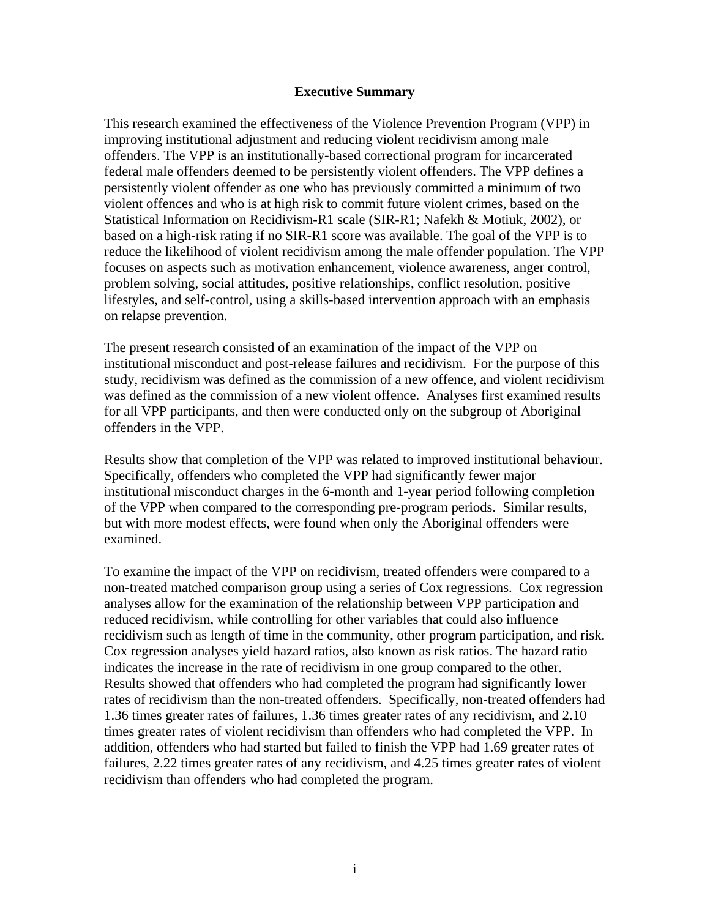### **Executive Summary**

This research examined the effectiveness of the Violence Prevention Program (VPP) in improving institutional adjustment and reducing violent recidivism among male offenders. The VPP is an institutionally-based correctional program for incarcerated federal male offenders deemed to be persistently violent offenders. The VPP defines a persistently violent offender as one who has previously committed a minimum of two violent offences and who is at high risk to commit future violent crimes, based on the Statistical Information on Recidivism-R1 scale (SIR-R1; Nafekh & Motiuk, 2002), or based on a high-risk rating if no SIR-R1 score was available. The goal of the VPP is to reduce the likelihood of violent recidivism among the male offender population. The VPP focuses on aspects such as motivation enhancement, violence awareness, anger control, problem solving, social attitudes, positive relationships, conflict resolution, positive lifestyles, and self-control, using a skills-based intervention approach with an emphasis on relapse prevention.

The present research consisted of an examination of the impact of the VPP on institutional misconduct and post-release failures and recidivism. For the purpose of this study, recidivism was defined as the commission of a new offence, and violent recidivism was defined as the commission of a new violent offence. Analyses first examined results for all VPP participants, and then were conducted only on the subgroup of Aboriginal offenders in the VPP.

Results show that completion of the VPP was related to improved institutional behaviour. Specifically, offenders who completed the VPP had significantly fewer major institutional misconduct charges in the 6-month and 1-year period following completion of the VPP when compared to the corresponding pre-program periods. Similar results, but with more modest effects, were found when only the Aboriginal offenders were examined.

To examine the impact of the VPP on recidivism, treated offenders were compared to a non-treated matched comparison group using a series of Cox regressions. Cox regression analyses allow for the examination of the relationship between VPP participation and reduced recidivism, while controlling for other variables that could also influence recidivism such as length of time in the community, other program participation, and risk. Cox regression analyses yield hazard ratios, also known as risk ratios. The hazard ratio indicates the increase in the rate of recidivism in one group compared to the other. Results showed that offenders who had completed the program had significantly lower rates of recidivism than the non-treated offenders. Specifically, non-treated offenders had 1.36 times greater rates of failures, 1.36 times greater rates of any recidivism, and 2.10 times greater rates of violent recidivism than offenders who had completed the VPP. In addition, offenders who had started but failed to finish the VPP had 1.69 greater rates of failures, 2.22 times greater rates of any recidivism, and 4.25 times greater rates of violent recidivism than offenders who had completed the program.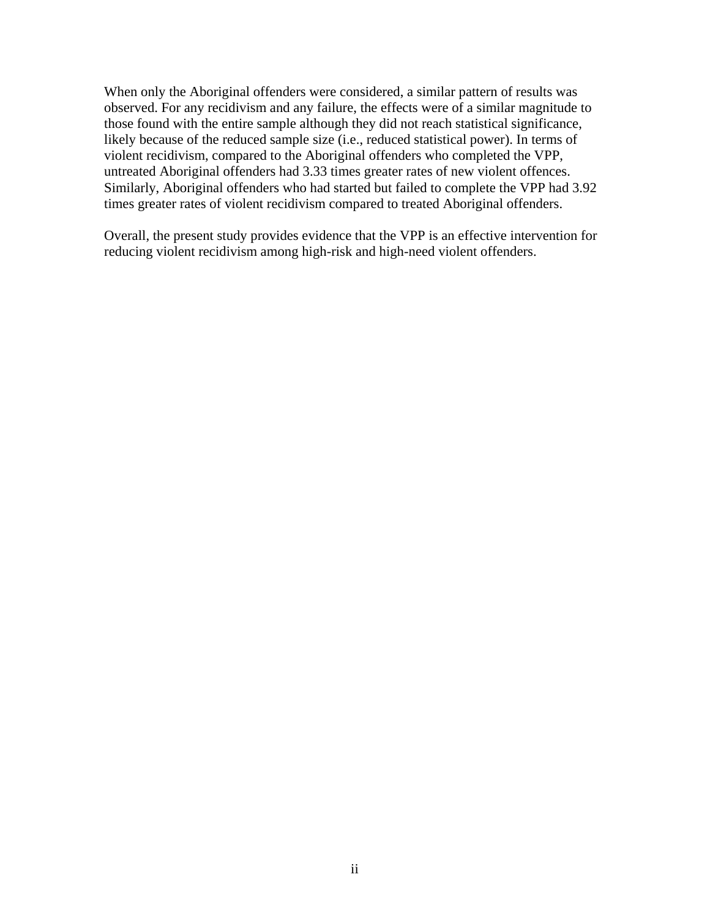When only the Aboriginal offenders were considered, a similar pattern of results was observed. For any recidivism and any failure, the effects were of a similar magnitude to those found with the entire sample although they did not reach statistical significance, likely because of the reduced sample size (i.e., reduced statistical power). In terms of violent recidivism, compared to the Aboriginal offenders who completed the VPP, untreated Aboriginal offenders had 3.33 times greater rates of new violent offences. Similarly, Aboriginal offenders who had started but failed to complete the VPP had 3.92 times greater rates of violent recidivism compared to treated Aboriginal offenders.

Overall, the present study provides evidence that the VPP is an effective intervention for reducing violent recidivism among high-risk and high-need violent offenders.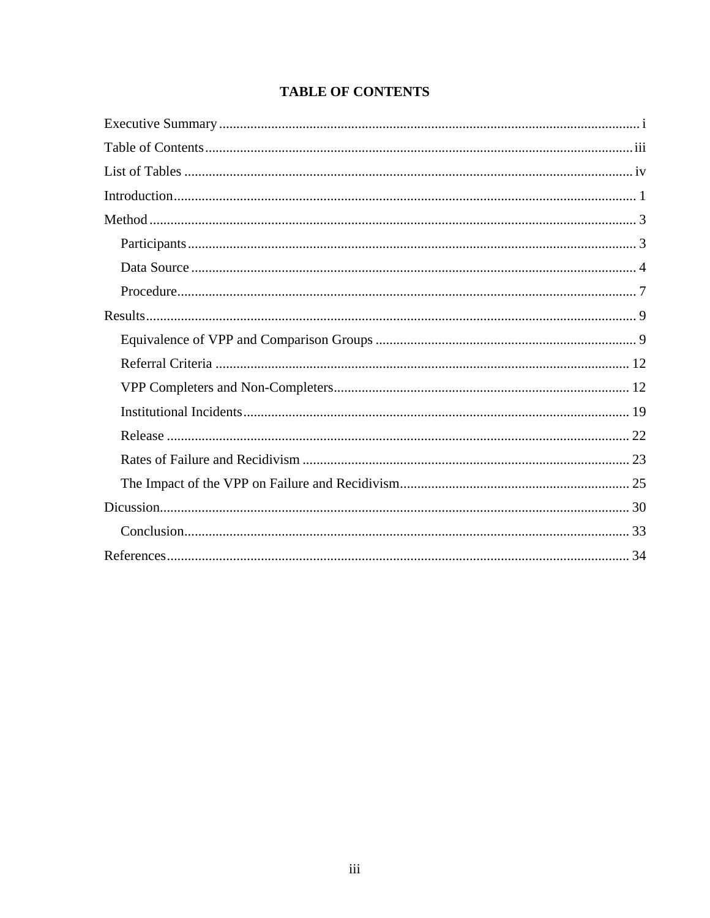## **TABLE OF CONTENTS**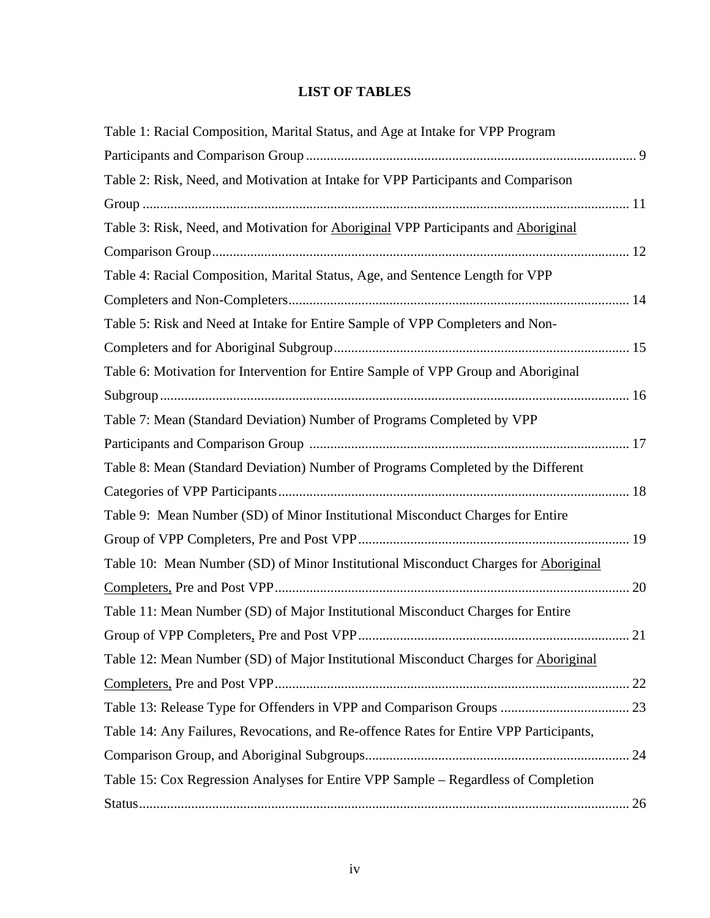### **LIST OF TABLES**

| Table 1: Racial Composition, Marital Status, and Age at Intake for VPP Program                   |  |
|--------------------------------------------------------------------------------------------------|--|
|                                                                                                  |  |
| Table 2: Risk, Need, and Motivation at Intake for VPP Participants and Comparison                |  |
|                                                                                                  |  |
| Table 3: Risk, Need, and Motivation for <b>Aboriginal VPP</b> Participants and <i>Aboriginal</i> |  |
|                                                                                                  |  |
| Table 4: Racial Composition, Marital Status, Age, and Sentence Length for VPP                    |  |
|                                                                                                  |  |
| Table 5: Risk and Need at Intake for Entire Sample of VPP Completers and Non-                    |  |
|                                                                                                  |  |
| Table 6: Motivation for Intervention for Entire Sample of VPP Group and Aboriginal               |  |
|                                                                                                  |  |
| Table 7: Mean (Standard Deviation) Number of Programs Completed by VPP                           |  |
|                                                                                                  |  |
| Table 8: Mean (Standard Deviation) Number of Programs Completed by the Different                 |  |
|                                                                                                  |  |
| Table 9: Mean Number (SD) of Minor Institutional Misconduct Charges for Entire                   |  |
|                                                                                                  |  |
| Table 10: Mean Number (SD) of Minor Institutional Misconduct Charges for Aboriginal              |  |
|                                                                                                  |  |
| Table 11: Mean Number (SD) of Major Institutional Misconduct Charges for Entire                  |  |
|                                                                                                  |  |
| Table 12: Mean Number (SD) of Major Institutional Misconduct Charges for Aboriginal              |  |
|                                                                                                  |  |
|                                                                                                  |  |
| Table 14: Any Failures, Revocations, and Re-offence Rates for Entire VPP Participants,           |  |
|                                                                                                  |  |
| Table 15: Cox Regression Analyses for Entire VPP Sample – Regardless of Completion               |  |
|                                                                                                  |  |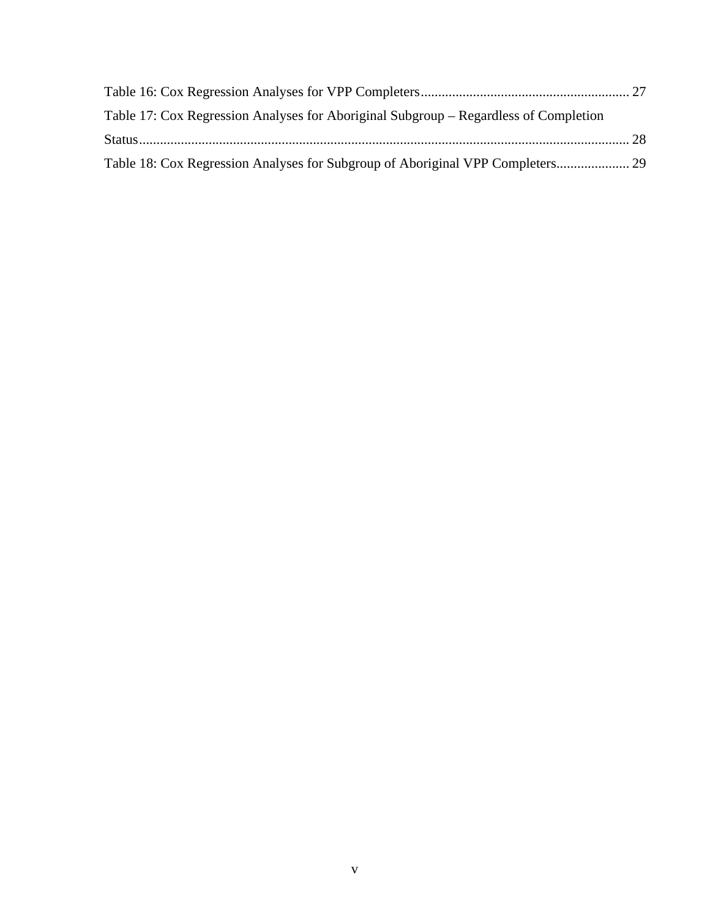| Table 17: Cox Regression Analyses for Aboriginal Subgroup – Regardless of Completion |  |
|--------------------------------------------------------------------------------------|--|
|                                                                                      |  |
|                                                                                      |  |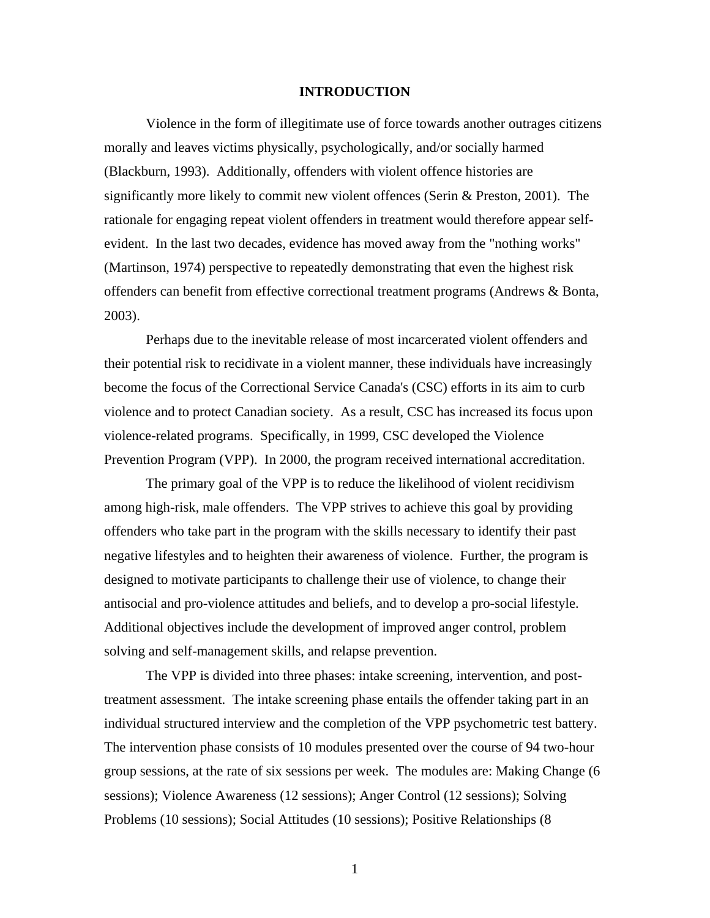### **INTRODUCTION**

 Violence in the form of illegitimate use of force towards another outrages citizens morally and leaves victims physically, psychologically, and/or socially harmed (Blackburn, 1993). Additionally, offenders with violent offence histories are significantly more likely to commit new violent offences (Serin & Preston, 2001). The rationale for engaging repeat violent offenders in treatment would therefore appear selfevident. In the last two decades, evidence has moved away from the "nothing works" (Martinson, 1974) perspective to repeatedly demonstrating that even the highest risk offenders can benefit from effective correctional treatment programs (Andrews & Bonta, 2003).

 Perhaps due to the inevitable release of most incarcerated violent offenders and their potential risk to recidivate in a violent manner, these individuals have increasingly become the focus of the Correctional Service Canada's (CSC) efforts in its aim to curb violence and to protect Canadian society. As a result, CSC has increased its focus upon violence-related programs. Specifically, in 1999, CSC developed the Violence Prevention Program (VPP). In 2000, the program received international accreditation.

 The primary goal of the VPP is to reduce the likelihood of violent recidivism among high-risk, male offenders. The VPP strives to achieve this goal by providing offenders who take part in the program with the skills necessary to identify their past negative lifestyles and to heighten their awareness of violence. Further, the program is designed to motivate participants to challenge their use of violence, to change their antisocial and pro-violence attitudes and beliefs, and to develop a pro-social lifestyle. Additional objectives include the development of improved anger control, problem solving and self-management skills, and relapse prevention.

The VPP is divided into three phases: intake screening, intervention, and posttreatment assessment. The intake screening phase entails the offender taking part in an individual structured interview and the completion of the VPP psychometric test battery. The intervention phase consists of 10 modules presented over the course of 94 two-hour group sessions, at the rate of six sessions per week. The modules are: Making Change (6 sessions); Violence Awareness (12 sessions); Anger Control (12 sessions); Solving Problems (10 sessions); Social Attitudes (10 sessions); Positive Relationships (8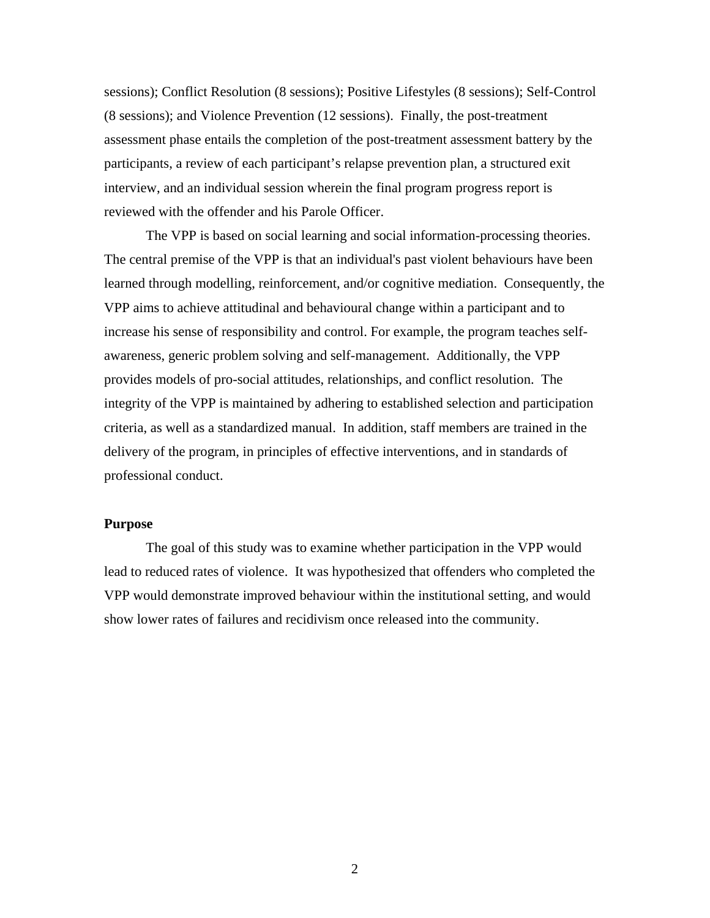sessions); Conflict Resolution (8 sessions); Positive Lifestyles (8 sessions); Self-Control (8 sessions); and Violence Prevention (12 sessions). Finally, the post-treatment assessment phase entails the completion of the post-treatment assessment battery by the participants, a review of each participant's relapse prevention plan, a structured exit interview, and an individual session wherein the final program progress report is reviewed with the offender and his Parole Officer.

 The VPP is based on social learning and social information-processing theories. The central premise of the VPP is that an individual's past violent behaviours have been learned through modelling, reinforcement, and/or cognitive mediation. Consequently, the VPP aims to achieve attitudinal and behavioural change within a participant and to increase his sense of responsibility and control. For example, the program teaches selfawareness, generic problem solving and self-management. Additionally, the VPP provides models of pro-social attitudes, relationships, and conflict resolution. The integrity of the VPP is maintained by adhering to established selection and participation criteria, as well as a standardized manual. In addition, staff members are trained in the delivery of the program, in principles of effective interventions, and in standards of professional conduct.

### **Purpose**

 The goal of this study was to examine whether participation in the VPP would lead to reduced rates of violence. It was hypothesized that offenders who completed the VPP would demonstrate improved behaviour within the institutional setting, and would show lower rates of failures and recidivism once released into the community.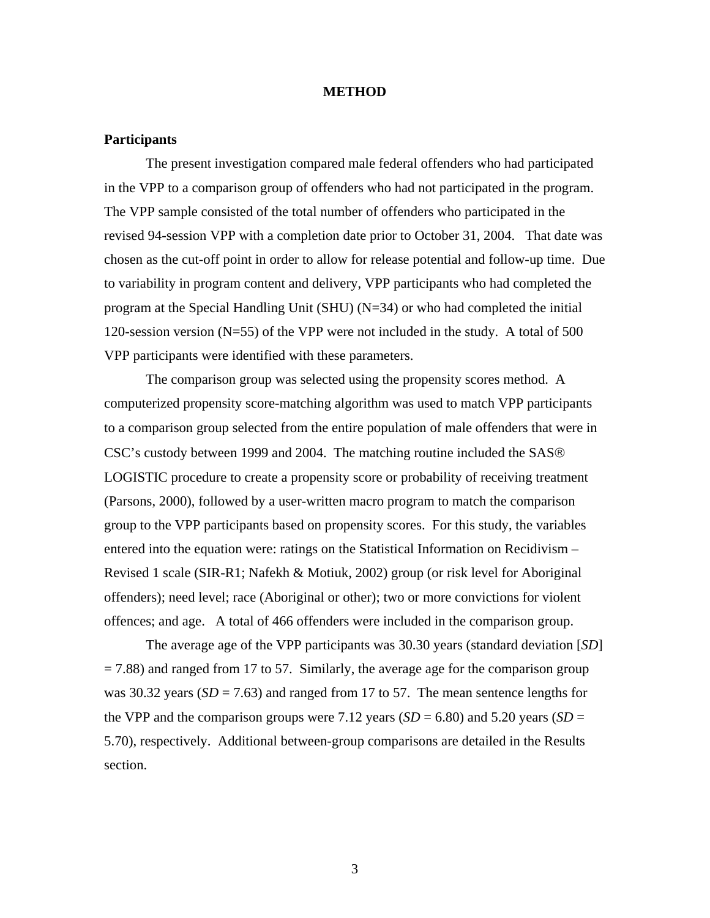#### **METHOD**

### **Participants**

The present investigation compared male federal offenders who had participated in the VPP to a comparison group of offenders who had not participated in the program. The VPP sample consisted of the total number of offenders who participated in the revised 94-session VPP with a completion date prior to October 31, 2004. That date was chosen as the cut-off point in order to allow for release potential and follow-up time. Due to variability in program content and delivery, VPP participants who had completed the program at the Special Handling Unit (SHU) (N=34) or who had completed the initial 120-session version (N=55) of the VPP were not included in the study. A total of 500 VPP participants were identified with these parameters.

The comparison group was selected using the propensity scores method. A computerized propensity score-matching algorithm was used to match VPP participants to a comparison group selected from the entire population of male offenders that were in CSC's custody between 1999 and 2004. The matching routine included the SAS® LOGISTIC procedure to create a propensity score or probability of receiving treatment (Parsons, 2000), followed by a user-written macro program to match the comparison group to the VPP participants based on propensity scores. For this study, the variables entered into the equation were: ratings on the Statistical Information on Recidivism – Revised 1 scale (SIR-R1; Nafekh & Motiuk, 2002) group (or risk level for Aboriginal offenders); need level; race (Aboriginal or other); two or more convictions for violent offences; and age. A total of 466 offenders were included in the comparison group.

The average age of the VPP participants was 30.30 years (standard deviation [*SD*]  $= 7.88$ ) and ranged from 17 to 57. Similarly, the average age for the comparison group was 30.32 years  $(SD = 7.63)$  and ranged from 17 to 57. The mean sentence lengths for the VPP and the comparison groups were 7.12 years  $(SD = 6.80)$  and 5.20 years  $(SD = 6.80)$ 5.70), respectively. Additional between-group comparisons are detailed in the Results section.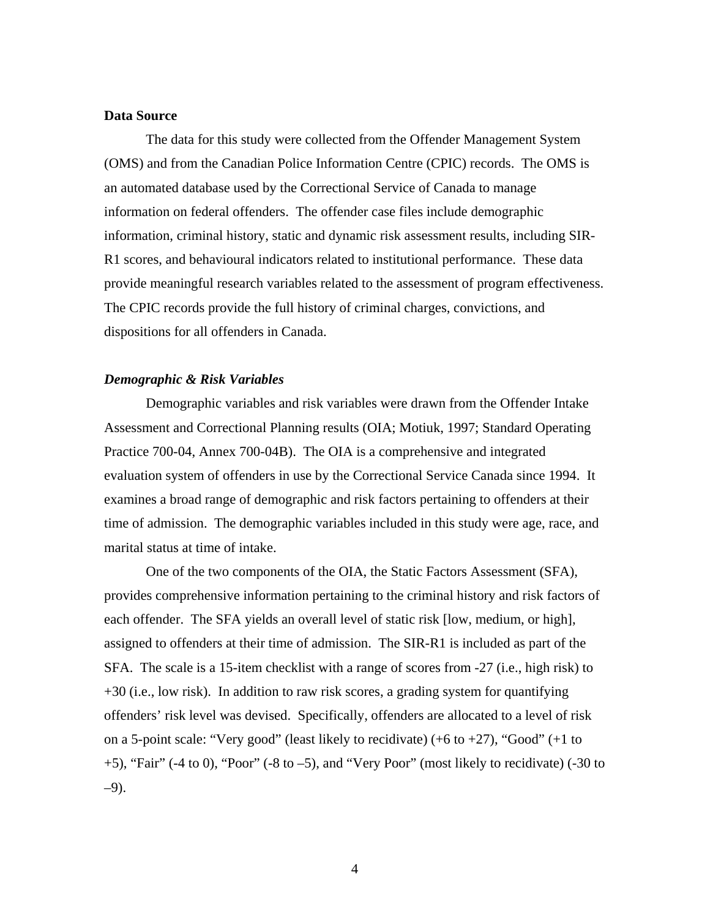### **Data Source**

The data for this study were collected from the Offender Management System (OMS) and from the Canadian Police Information Centre (CPIC) records. The OMS is an automated database used by the Correctional Service of Canada to manage information on federal offenders. The offender case files include demographic information, criminal history, static and dynamic risk assessment results, including SIR-R1 scores, and behavioural indicators related to institutional performance. These data provide meaningful research variables related to the assessment of program effectiveness. The CPIC records provide the full history of criminal charges, convictions, and dispositions for all offenders in Canada.

### *Demographic & Risk Variables*

Demographic variables and risk variables were drawn from the Offender Intake Assessment and Correctional Planning results (OIA; Motiuk, 1997; Standard Operating Practice 700-04, Annex 700-04B). The OIA is a comprehensive and integrated evaluation system of offenders in use by the Correctional Service Canada since 1994. It examines a broad range of demographic and risk factors pertaining to offenders at their time of admission. The demographic variables included in this study were age, race, and marital status at time of intake.

One of the two components of the OIA, the Static Factors Assessment (SFA), provides comprehensive information pertaining to the criminal history and risk factors of each offender. The SFA yields an overall level of static risk [low, medium, or high], assigned to offenders at their time of admission. The SIR-R1 is included as part of the SFA. The scale is a 15-item checklist with a range of scores from -27 (i.e., high risk) to +30 (i.e., low risk). In addition to raw risk scores, a grading system for quantifying offenders' risk level was devised. Specifically, offenders are allocated to a level of risk on a 5-point scale: "Very good" (least likely to recidivate)  $(+6 \text{ to } +27)$ , "Good"  $(+1 \text{ to }$ +5), "Fair" (-4 to 0), "Poor" (-8 to –5), and "Very Poor" (most likely to recidivate) (-30 to –9).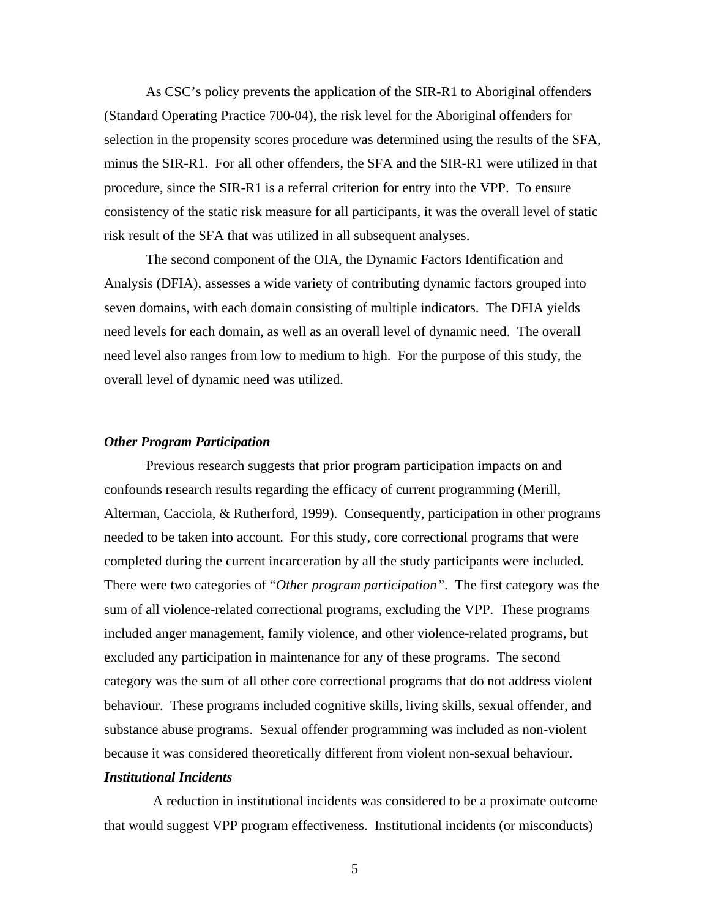As CSC's policy prevents the application of the SIR-R1 to Aboriginal offenders (Standard Operating Practice 700-04), the risk level for the Aboriginal offenders for selection in the propensity scores procedure was determined using the results of the SFA, minus the SIR-R1. For all other offenders, the SFA and the SIR-R1 were utilized in that procedure, since the SIR-R1 is a referral criterion for entry into the VPP. To ensure consistency of the static risk measure for all participants, it was the overall level of static risk result of the SFA that was utilized in all subsequent analyses.

The second component of the OIA, the Dynamic Factors Identification and Analysis (DFIA), assesses a wide variety of contributing dynamic factors grouped into seven domains, with each domain consisting of multiple indicators. The DFIA yields need levels for each domain, as well as an overall level of dynamic need. The overall need level also ranges from low to medium to high. For the purpose of this study, the overall level of dynamic need was utilized.

### *Other Program Participation*

Previous research suggests that prior program participation impacts on and confounds research results regarding the efficacy of current programming (Merill, Alterman, Cacciola, & Rutherford, 1999). Consequently, participation in other programs needed to be taken into account. For this study, core correctional programs that were completed during the current incarceration by all the study participants were included. There were two categories of "*Other program participation"*. The first category was the sum of all violence-related correctional programs, excluding the VPP. These programs included anger management, family violence, and other violence-related programs, but excluded any participation in maintenance for any of these programs. The second category was the sum of all other core correctional programs that do not address violent behaviour. These programs included cognitive skills, living skills, sexual offender, and substance abuse programs. Sexual offender programming was included as non-violent because it was considered theoretically different from violent non-sexual behaviour.

### *Institutional Incidents*

 A reduction in institutional incidents was considered to be a proximate outcome that would suggest VPP program effectiveness. Institutional incidents (or misconducts)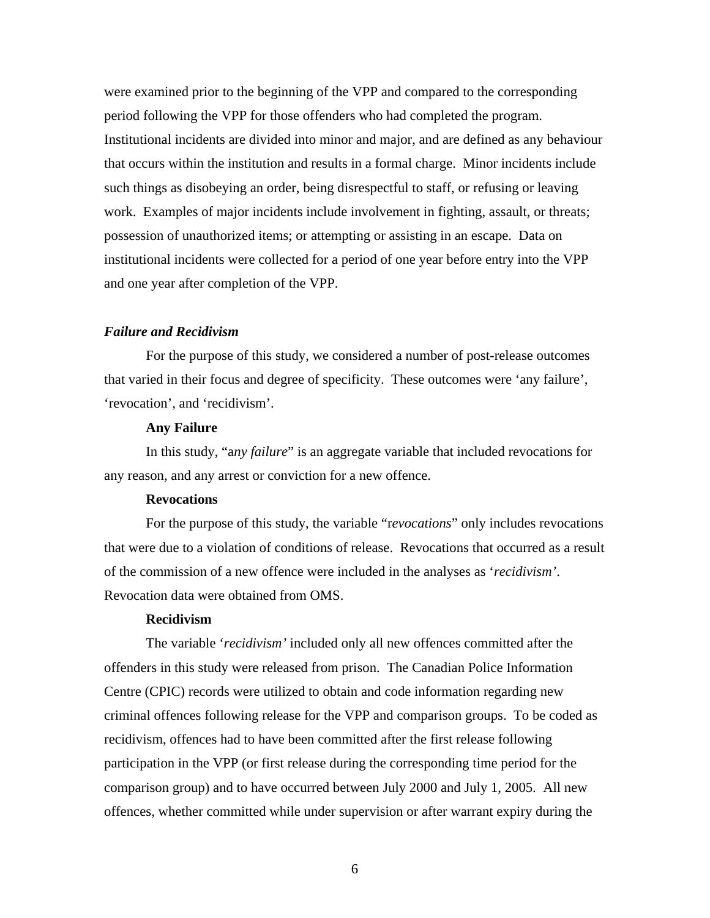were examined prior to the beginning of the VPP and compared to the corresponding period following the VPP for those offenders who had completed the program. Institutional incidents are divided into minor and major, and are defined as any behaviour that occurs within the institution and results in a formal charge. Minor incidents include such things as disobeying an order, being disrespectful to staff, or refusing or leaving work. Examples of major incidents include involvement in fighting, assault, or threats; possession of unauthorized items; or attempting or assisting in an escape. Data on institutional incidents were collected for a period of one year before entry into the VPP and one year after completion of the VPP.

### *Failure and Recidivism*

 For the purpose of this study, we considered a number of post-release outcomes that varied in their focus and degree of specificity. These outcomes were 'any failure', 'revocation', and 'recidivism'.

#### **Any Failure**

 In this study, "a*ny failure*" is an aggregate variable that included revocations for any reason, and any arrest or conviction for a new offence.

### **Revocations**

For the purpose of this study, the variable "r*evocations*" only includes revocations that were due to a violation of conditions of release. Revocations that occurred as a result of the commission of a new offence were included in the analyses as '*recidivism'*. Revocation data were obtained from OMS.

### **Recidivism**

The variable '*recidivism'* included only all new offences committed after the offenders in this study were released from prison. The Canadian Police Information Centre (CPIC) records were utilized to obtain and code information regarding new criminal offences following release for the VPP and comparison groups. To be coded as recidivism, offences had to have been committed after the first release following participation in the VPP (or first release during the corresponding time period for the comparison group) and to have occurred between July 2000 and July 1, 2005. All new offences, whether committed while under supervision or after warrant expiry during the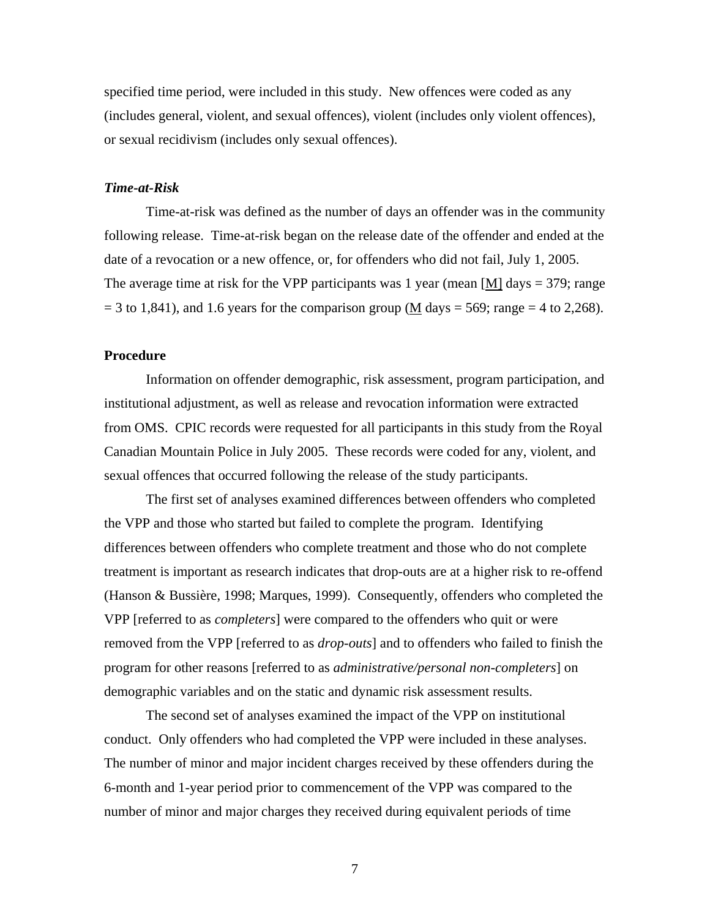specified time period, were included in this study. New offences were coded as any (includes general, violent, and sexual offences), violent (includes only violent offences), or sexual recidivism (includes only sexual offences).

#### *Time-at-Risk*

Time-at-risk was defined as the number of days an offender was in the community following release. Time-at-risk began on the release date of the offender and ended at the date of a revocation or a new offence, or, for offenders who did not fail, July 1, 2005. The average time at risk for the VPP participants was 1 year (mean  $[M]$  days = 379; range  $= 3$  to 1,841), and 1.6 years for the comparison group (M days  $= 569$ ; range  $= 4$  to 2,268).

#### **Procedure**

 Information on offender demographic, risk assessment, program participation, and institutional adjustment, as well as release and revocation information were extracted from OMS. CPIC records were requested for all participants in this study from the Royal Canadian Mountain Police in July 2005. These records were coded for any, violent, and sexual offences that occurred following the release of the study participants.

 The first set of analyses examined differences between offenders who completed the VPP and those who started but failed to complete the program. Identifying differences between offenders who complete treatment and those who do not complete treatment is important as research indicates that drop-outs are at a higher risk to re-offend (Hanson & Bussière, 1998; Marques, 1999). Consequently, offenders who completed the VPP [referred to as *completers*] were compared to the offenders who quit or were removed from the VPP [referred to as *drop-outs*] and to offenders who failed to finish the program for other reasons [referred to as *administrative/personal non-completers*] on demographic variables and on the static and dynamic risk assessment results.

 The second set of analyses examined the impact of the VPP on institutional conduct. Only offenders who had completed the VPP were included in these analyses. The number of minor and major incident charges received by these offenders during the 6-month and 1-year period prior to commencement of the VPP was compared to the number of minor and major charges they received during equivalent periods of time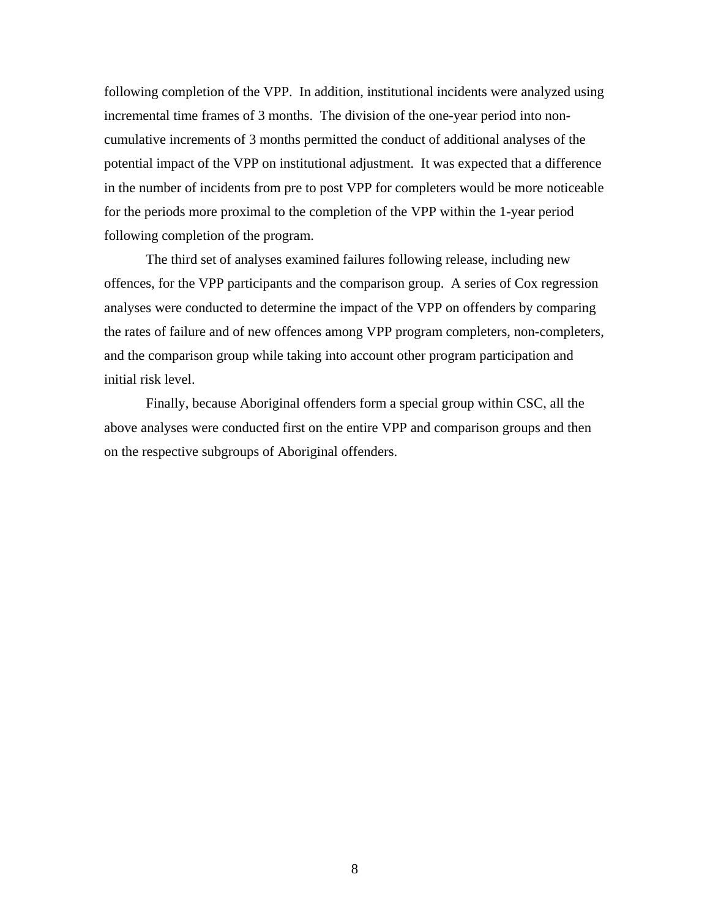following completion of the VPP. In addition, institutional incidents were analyzed using incremental time frames of 3 months. The division of the one-year period into noncumulative increments of 3 months permitted the conduct of additional analyses of the potential impact of the VPP on institutional adjustment. It was expected that a difference in the number of incidents from pre to post VPP for completers would be more noticeable for the periods more proximal to the completion of the VPP within the 1-year period following completion of the program.

 The third set of analyses examined failures following release, including new offences, for the VPP participants and the comparison group. A series of Cox regression analyses were conducted to determine the impact of the VPP on offenders by comparing the rates of failure and of new offences among VPP program completers, non-completers, and the comparison group while taking into account other program participation and initial risk level.

 Finally, because Aboriginal offenders form a special group within CSC, all the above analyses were conducted first on the entire VPP and comparison groups and then on the respective subgroups of Aboriginal offenders.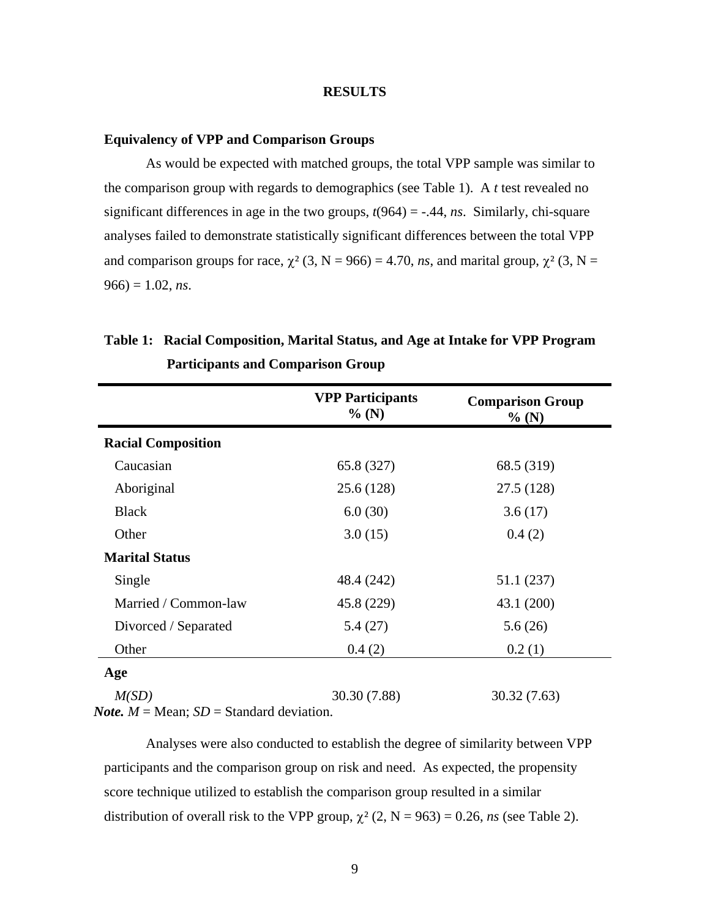#### **RESULTS**

### **Equivalency of VPP and Comparison Groups**

As would be expected with matched groups, the total VPP sample was similar to the comparison group with regards to demographics (see Table 1). A *t* test revealed no significant differences in age in the two groups,  $t(964) = -.44$ , *ns*. Similarly, chi-square analyses failed to demonstrate statistically significant differences between the total VPP and comparison groups for race,  $\chi^2$  (3, N = 966) = 4.70, *ns*, and marital group,  $\chi^2$  (3, N =  $966 = 1.02$ , *ns*.

|                           | <b>VPP Participants</b><br>$%$ (N) | <b>Comparison Group</b><br>$%$ (N) |
|---------------------------|------------------------------------|------------------------------------|
| <b>Racial Composition</b> |                                    |                                    |
| Caucasian                 | 65.8 (327)                         | 68.5 (319)                         |
| Aboriginal                | 25.6 (128)                         | 27.5 (128)                         |
| <b>Black</b>              | 6.0(30)                            | 3.6(17)                            |
| Other                     | 3.0(15)                            | 0.4(2)                             |
| <b>Marital Status</b>     |                                    |                                    |
| Single                    | 48.4 (242)                         | 51.1 (237)                         |
| Married / Common-law      | 45.8 (229)                         | 43.1 (200)                         |
| Divorced / Separated      | 5.4(27)                            | 5.6(26)                            |
| Other                     | 0.4(2)                             | 0.2(1)                             |
| Age                       |                                    |                                    |
| M(SD)                     | 30.30 (7.88)                       | 30.32 (7.63)                       |

## **Table 1: Racial Composition, Marital Status, and Age at Intake for VPP Program Participants and Comparison Group**

*Note.*  $M = \text{Mean}$ ;  $SD = \text{Standard deviation}$ .

Analyses were also conducted to establish the degree of similarity between VPP participants and the comparison group on risk and need. As expected, the propensity score technique utilized to establish the comparison group resulted in a similar distribution of overall risk to the VPP group,  $\chi^2$  (2, N = 963) = 0.26, *ns* (see Table 2).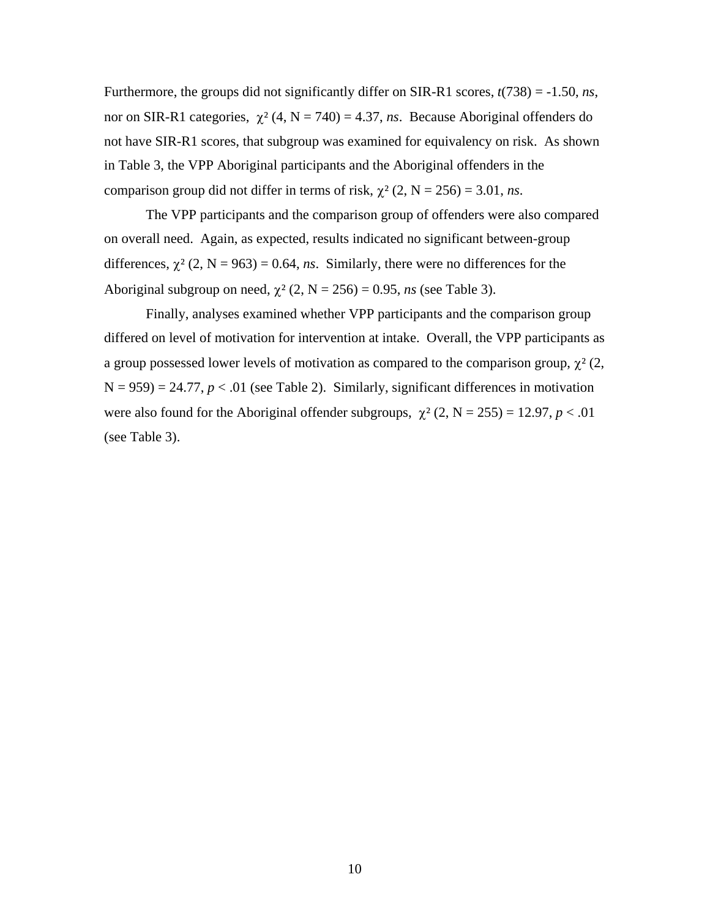Furthermore, the groups did not significantly differ on SIR-R1 scores, *t*(738) = -1.50, *ns*, nor on SIR-R1 categories,  $\chi^2$  (4, N = 740) = 4.37, *ns*. Because Aboriginal offenders do not have SIR-R1 scores, that subgroup was examined for equivalency on risk. As shown in Table 3, the VPP Aboriginal participants and the Aboriginal offenders in the comparison group did not differ in terms of risk,  $\chi^2$  (2, N = 256) = 3.01, *ns*.

The VPP participants and the comparison group of offenders were also compared on overall need. Again, as expected, results indicated no significant between-group differences,  $\chi^2$  (2, N = 963) = 0.64, *ns*. Similarly, there were no differences for the Aboriginal subgroup on need,  $\chi^2$  (2, N = 256) = 0.95, *ns* (see Table 3).

Finally, analyses examined whether VPP participants and the comparison group differed on level of motivation for intervention at intake. Overall, the VPP participants as a group possessed lower levels of motivation as compared to the comparison group,  $\chi^2$  (2,  $N = 959$ ) = 24.77,  $p < .01$  (see Table 2). Similarly, significant differences in motivation were also found for the Aboriginal offender subgroups,  $\chi^2$  (2, N = 255) = 12.97, *p* < .01 (see Table 3).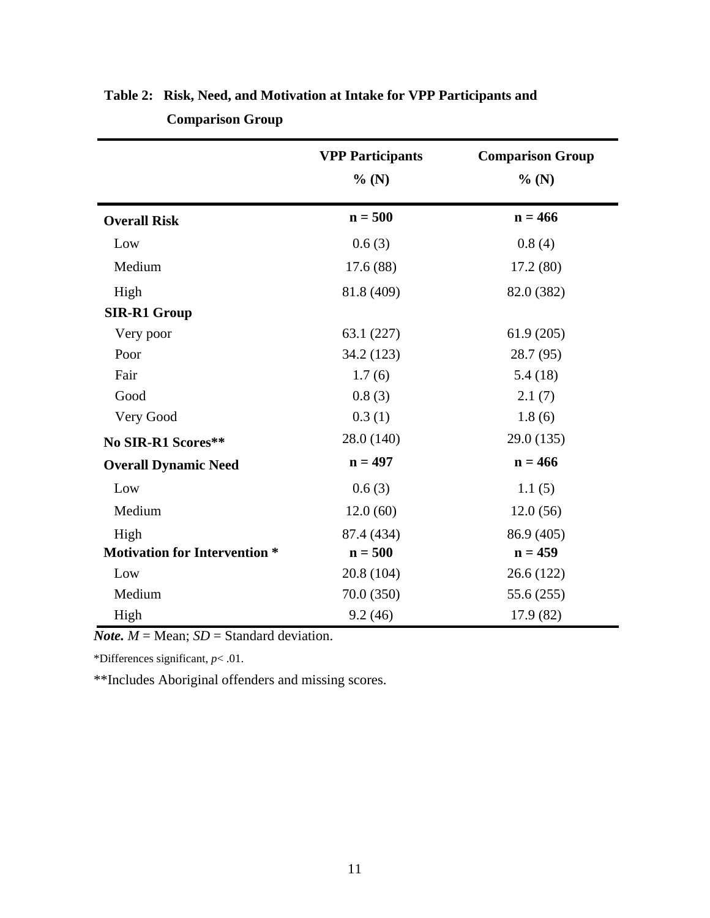|                                      | <b>VPP Participants</b> | <b>Comparison Group</b> |
|--------------------------------------|-------------------------|-------------------------|
|                                      | $%$ (N)                 | $%$ (N)                 |
| <b>Overall Risk</b>                  | $n = 500$               | $n = 466$               |
| Low                                  | 0.6(3)                  | 0.8(4)                  |
| Medium                               | 17.6(88)                | 17.2(80)                |
| High                                 | 81.8 (409)              | 82.0 (382)              |
| <b>SIR-R1 Group</b>                  |                         |                         |
| Very poor                            | 63.1(227)               | 61.9(205)               |
| Poor                                 | 34.2 (123)              | 28.7 (95)               |
| Fair                                 | 1.7(6)                  | 5.4(18)                 |
| Good                                 | 0.8(3)                  | 2.1(7)                  |
| Very Good                            | 0.3(1)                  | 1.8(6)                  |
| No SIR-R1 Scores**                   | 28.0 (140)              | 29.0 (135)              |
| <b>Overall Dynamic Need</b>          | $n = 497$               | $n = 466$               |
| Low                                  | 0.6(3)                  | 1.1(5)                  |
| Medium                               | 12.0(60)                | 12.0(56)                |
| High                                 | 87.4 (434)              | 86.9 (405)              |
| <b>Motivation for Intervention *</b> | $n = 500$               | $n = 459$               |
| Low                                  | 20.8(104)               | 26.6(122)               |
| Medium                               | 70.0 (350)              | 55.6 (255)              |
| High                                 | 9.2(46)                 | 17.9 (82)               |

# **Table 2: Risk, Need, and Motivation at Intake for VPP Participants and Comparison Group**

*Note.*  $M = \text{Mean}$ ;  $SD = \text{Standard deviation}$ .

\*Differences significant, *p*< .01.

\*\*Includes Aboriginal offenders and missing scores.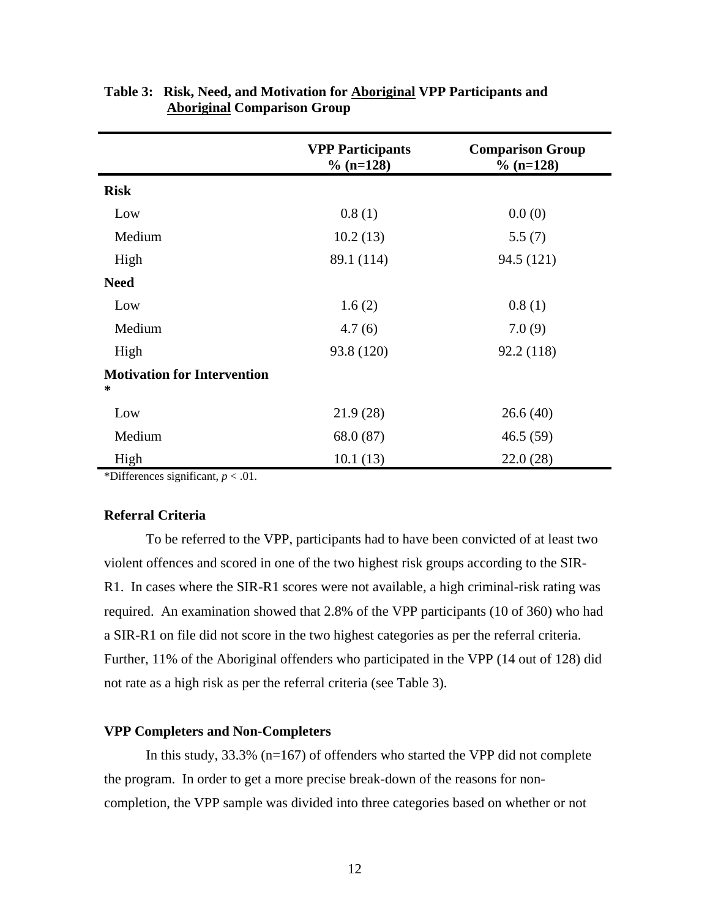|                                              | <b>VPP Participants</b><br>$\%$ (n=128) | <b>Comparison Group</b><br>$\%$ (n=128) |
|----------------------------------------------|-----------------------------------------|-----------------------------------------|
| <b>Risk</b>                                  |                                         |                                         |
| Low                                          | 0.8(1)                                  | 0.0(0)                                  |
| Medium                                       | 10.2(13)                                | 5.5(7)                                  |
| High                                         | 89.1 (114)                              | 94.5 (121)                              |
| <b>Need</b>                                  |                                         |                                         |
| Low                                          | 1.6(2)                                  | 0.8(1)                                  |
| Medium                                       | 4.7(6)                                  | 7.0(9)                                  |
| High                                         | 93.8 (120)                              | 92.2 (118)                              |
| <b>Motivation for Intervention</b><br>$\ast$ |                                         |                                         |
| Low                                          | 21.9(28)                                | 26.6(40)                                |
| Medium                                       | 68.0 (87)                               | 46.5(59)                                |
| High                                         | 10.1(13)                                | 22.0(28)                                |

### **Table 3: Risk, Need, and Motivation for Aboriginal VPP Participants and Aboriginal Comparison Group**

\*Differences significant, *p* < .01.

### **Referral Criteria**

To be referred to the VPP, participants had to have been convicted of at least two violent offences and scored in one of the two highest risk groups according to the SIR-R1. In cases where the SIR-R1 scores were not available, a high criminal-risk rating was required. An examination showed that 2.8% of the VPP participants (10 of 360) who had a SIR-R1 on file did not score in the two highest categories as per the referral criteria. Further, 11% of the Aboriginal offenders who participated in the VPP (14 out of 128) did not rate as a high risk as per the referral criteria (see Table 3).

### **VPP Completers and Non-Completers**

In this study,  $33.3\%$  (n=167) of offenders who started the VPP did not complete the program. In order to get a more precise break-down of the reasons for noncompletion, the VPP sample was divided into three categories based on whether or not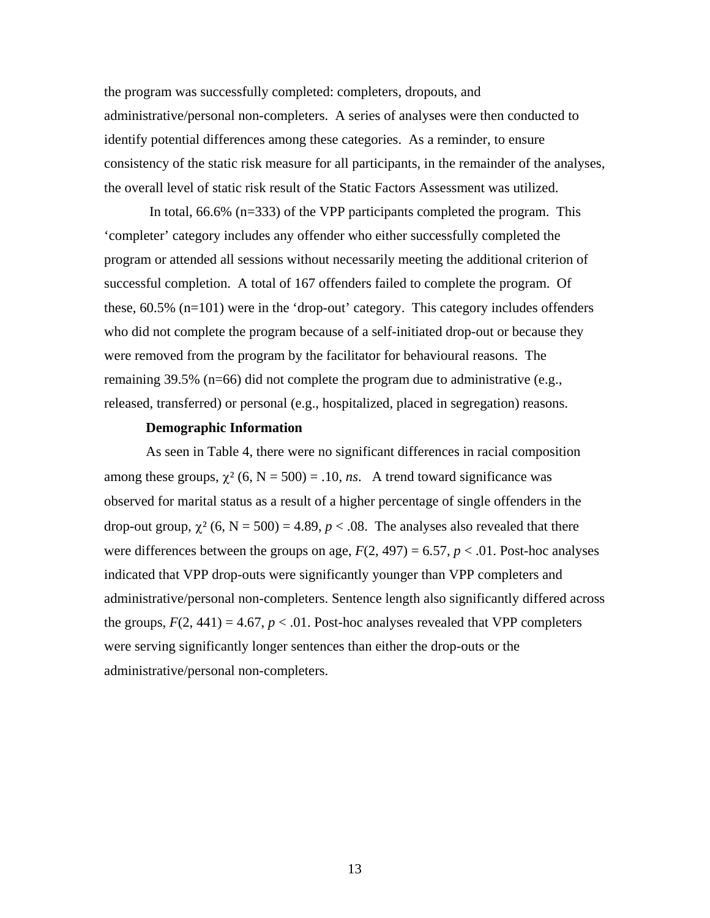the program was successfully completed: completers, dropouts, and administrative/personal non-completers. A series of analyses were then conducted to identify potential differences among these categories. As a reminder, to ensure consistency of the static risk measure for all participants, in the remainder of the analyses, the overall level of static risk result of the Static Factors Assessment was utilized.

 In total, 66.6% (n=333) of the VPP participants completed the program. This 'completer' category includes any offender who either successfully completed the program or attended all sessions without necessarily meeting the additional criterion of successful completion. A total of 167 offenders failed to complete the program. Of these, 60.5% (n=101) were in the 'drop-out' category. This category includes offenders who did not complete the program because of a self-initiated drop-out or because they were removed from the program by the facilitator for behavioural reasons. The remaining 39.5% (n=66) did not complete the program due to administrative (e.g., released, transferred) or personal (e.g., hospitalized, placed in segregation) reasons.

### **Demographic Information**

As seen in Table 4, there were no significant differences in racial composition among these groups,  $\chi^2$  (6, N = 500) = .10, *ns*. A trend toward significance was observed for marital status as a result of a higher percentage of single offenders in the drop-out group,  $\chi^2$  (6, N = 500) = 4.89,  $p < .08$ . The analyses also revealed that there were differences between the groups on age,  $F(2, 497) = 6.57$ ,  $p < .01$ . Post-hoc analyses indicated that VPP drop-outs were significantly younger than VPP completers and administrative/personal non-completers. Sentence length also significantly differed across the groups,  $F(2, 441) = 4.67$ ,  $p < .01$ . Post-hoc analyses revealed that VPP completers were serving significantly longer sentences than either the drop-outs or the administrative/personal non-completers.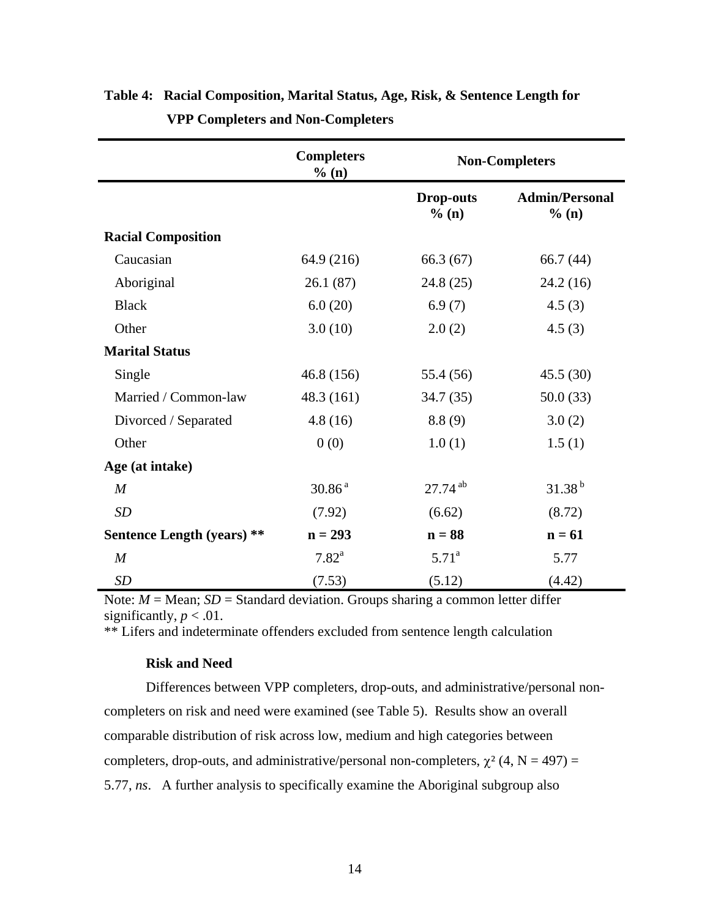|                                   | <b>Completers</b><br>% (n) | <b>Non-Completers</b>     |                                |
|-----------------------------------|----------------------------|---------------------------|--------------------------------|
|                                   |                            | <b>Drop-outs</b><br>% (n) | <b>Admin/Personal</b><br>% (n) |
| <b>Racial Composition</b>         |                            |                           |                                |
| Caucasian                         | 64.9 (216)                 | 66.3(67)                  | 66.7 $(44)$                    |
| Aboriginal                        | 26.1(87)                   | 24.8(25)                  | 24.2(16)                       |
| <b>Black</b>                      | 6.0(20)                    | 6.9(7)                    | 4.5(3)                         |
| Other                             | 3.0(10)                    | 2.0(2)                    | 4.5(3)                         |
| <b>Marital Status</b>             |                            |                           |                                |
| Single                            | 46.8(156)                  | 55.4 (56)                 | 45.5(30)                       |
| Married / Common-law              | 48.3(161)                  | 34.7(35)                  | 50.0(33)                       |
| Divorced / Separated              | 4.8(16)                    | 8.8(9)                    | 3.0(2)                         |
| Other                             | 0(0)                       | 1.0(1)                    | 1.5(1)                         |
| Age (at intake)                   |                            |                           |                                |
| $\boldsymbol{M}$                  | 30.86 <sup>a</sup>         | $27.74$ <sup>ab</sup>     | $31.38^{b}$                    |
| SD                                | (7.92)                     | (6.62)                    | (8.72)                         |
| <b>Sentence Length (years) **</b> | $n = 293$                  | $n = 88$                  | $n = 61$                       |
| M                                 | $7.82^{\rm a}$             | $5.71^{\rm a}$            | 5.77                           |
| <b>SD</b>                         | (7.53)                     | (5.12)                    | (4.42)                         |

# **Table 4: Racial Composition, Marital Status, Age, Risk, & Sentence Length for VPP Completers and Non-Completers**

Note:  $M = \text{Mean}$ ;  $SD = \text{Standard deviation}$ . Groups sharing a common letter differ significantly,  $p < .01$ .

\*\* Lifers and indeterminate offenders excluded from sentence length calculation

### **Risk and Need**

Differences between VPP completers, drop-outs, and administrative/personal noncompleters on risk and need were examined (see Table 5). Results show an overall comparable distribution of risk across low, medium and high categories between completers, drop-outs, and administrative/personal non-completers,  $\chi^2$  (4, N = 497) = 5.77, *ns*. A further analysis to specifically examine the Aboriginal subgroup also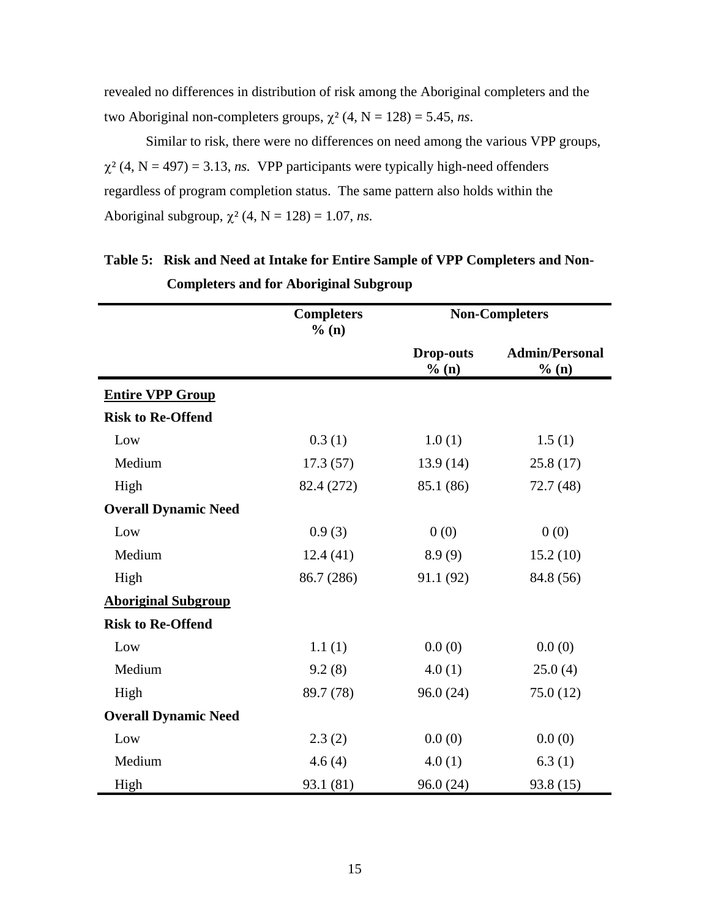revealed no differences in distribution of risk among the Aboriginal completers and the two Aboriginal non-completers groups,  $\chi^2$  (4, N = 128) = 5.45, *ns*.

Similar to risk, there were no differences on need among the various VPP groups,  $\chi^2$  (4, N = 497) = 3.13, *ns.* VPP participants were typically high-need offenders regardless of program completion status. The same pattern also holds within the Aboriginal subgroup,  $\chi^2$  (4, N = 128) = 1.07, *ns*.

|                             | <b>Completers</b><br>% (n) |                           | <b>Non-Completers</b>          |
|-----------------------------|----------------------------|---------------------------|--------------------------------|
|                             |                            | <b>Drop-outs</b><br>% (n) | <b>Admin/Personal</b><br>% (n) |
| <b>Entire VPP Group</b>     |                            |                           |                                |
| <b>Risk to Re-Offend</b>    |                            |                           |                                |
| Low                         | 0.3(1)                     | 1.0(1)                    | 1.5(1)                         |
| Medium                      | 17.3(57)                   | 13.9(14)                  | 25.8(17)                       |
| High                        | 82.4 (272)                 | 85.1 (86)                 | 72.7(48)                       |
| <b>Overall Dynamic Need</b> |                            |                           |                                |
| Low                         | 0.9(3)                     | 0(0)                      | 0(0)                           |
| Medium                      | 12.4(41)                   | 8.9(9)                    | 15.2(10)                       |
| High                        | 86.7 (286)                 | 91.1 (92)                 | 84.8 (56)                      |
| <b>Aboriginal Subgroup</b>  |                            |                           |                                |
| <b>Risk to Re-Offend</b>    |                            |                           |                                |
| Low                         | 1.1(1)                     | 0.0(0)                    | 0.0(0)                         |
| Medium                      | 9.2(8)                     | 4.0(1)                    | 25.0(4)                        |
| High                        | 89.7 (78)                  | 96.0(24)                  | 75.0(12)                       |
| <b>Overall Dynamic Need</b> |                            |                           |                                |
| Low                         | 2.3(2)                     | 0.0(0)                    | 0.0(0)                         |
| Medium                      | 4.6(4)                     | 4.0(1)                    | 6.3(1)                         |
| High                        | 93.1 (81)                  | 96.0 (24)                 | 93.8 (15)                      |

# **Table 5: Risk and Need at Intake for Entire Sample of VPP Completers and Non-Completers and for Aboriginal Subgroup**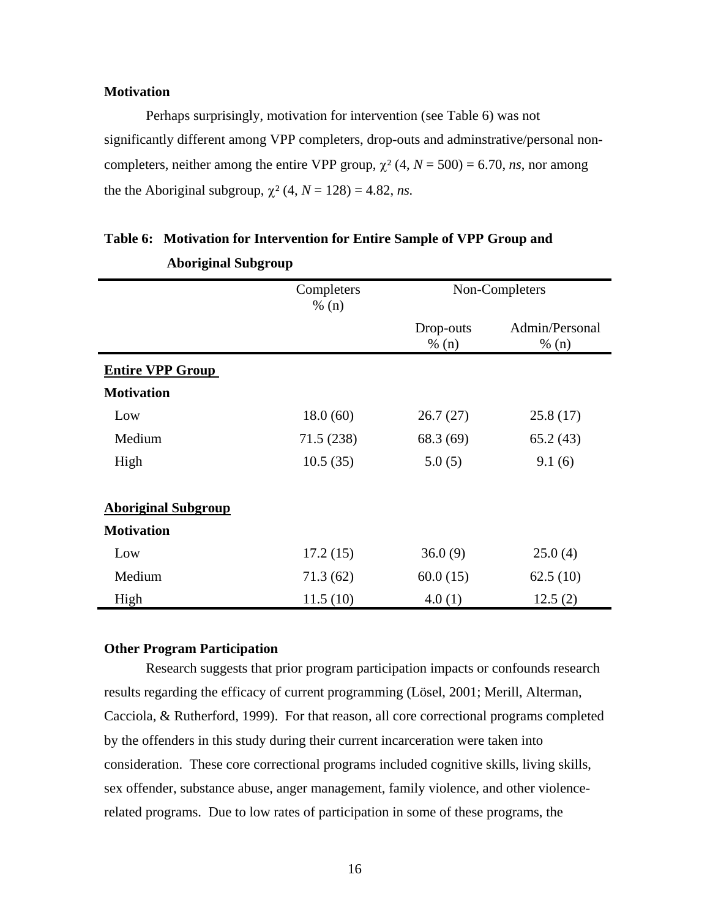### **Motivation**

Perhaps surprisingly, motivation for intervention (see Table 6) was not significantly different among VPP completers, drop-outs and adminstrative/personal noncompleters, neither among the entire VPP group,  $\chi^2$  (4,  $N = 500$ ) = 6.70, *ns*, nor among the the Aboriginal subgroup,  $\chi^2$  (4,  $N = 128$ ) = 4.82, *ns*.

|                            | Completers<br>% (n) |                    | Non-Completers          |
|----------------------------|---------------------|--------------------|-------------------------|
|                            |                     | Drop-outs<br>% (n) | Admin/Personal<br>% (n) |
| <b>Entire VPP Group</b>    |                     |                    |                         |
| <b>Motivation</b>          |                     |                    |                         |
| Low                        | 18.0(60)            | 26.7(27)           | 25.8(17)                |
| Medium                     | 71.5(238)           | 68.3 (69)          | 65.2(43)                |
| High                       | 10.5(35)            | 5.0(5)             | 9.1(6)                  |
| <b>Aboriginal Subgroup</b> |                     |                    |                         |
| <b>Motivation</b>          |                     |                    |                         |
| Low                        | 17.2(15)            | 36.0(9)            | 25.0(4)                 |
| Medium                     | 71.3(62)            | 60.0(15)           | 62.5(10)                |
| High                       | 11.5(10)            | 4.0(1)             | 12.5(2)                 |

# **Table 6: Motivation for Intervention for Entire Sample of VPP Group and Aboriginal Subgroup**

### **Other Program Participation**

Research suggests that prior program participation impacts or confounds research results regarding the efficacy of current programming (Lösel, 2001; Merill, Alterman, Cacciola, & Rutherford, 1999). For that reason, all core correctional programs completed by the offenders in this study during their current incarceration were taken into consideration. These core correctional programs included cognitive skills, living skills, sex offender, substance abuse, anger management, family violence, and other violencerelated programs. Due to low rates of participation in some of these programs, the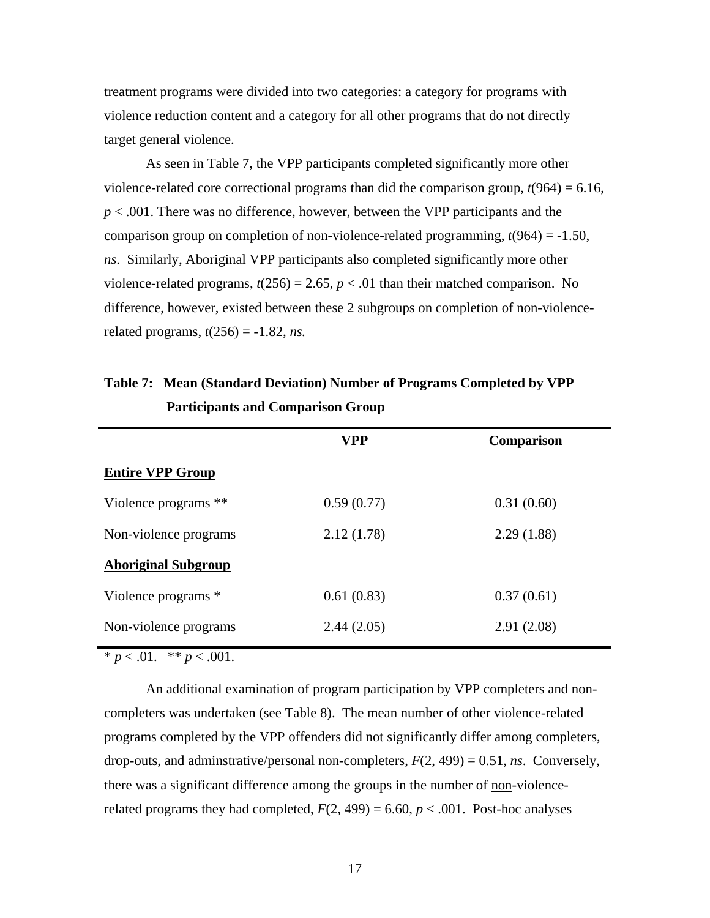treatment programs were divided into two categories: a category for programs with violence reduction content and a category for all other programs that do not directly target general violence.

As seen in Table 7, the VPP participants completed significantly more other violence-related core correctional programs than did the comparison group,  $t(964) = 6.16$ , *p* < .001. There was no difference, however, between the VPP participants and the comparison group on completion of non-violence-related programming,  $t(964) = -1.50$ , *ns*. Similarly, Aboriginal VPP participants also completed significantly more other violence-related programs,  $t(256) = 2.65$ ,  $p < .01$  than their matched comparison. No difference, however, existed between these 2 subgroups on completion of non-violencerelated programs,  $t(256) = -1.82$ , *ns.* 

|                            | <b>VPP</b> | <b>Comparison</b> |
|----------------------------|------------|-------------------|
| <b>Entire VPP Group</b>    |            |                   |
| Violence programs **       | 0.59(0.77) | 0.31(0.60)        |
| Non-violence programs      | 2.12(1.78) | 2.29(1.88)        |
| <b>Aboriginal Subgroup</b> |            |                   |
| Violence programs *        | 0.61(0.83) | 0.37(0.61)        |
| Non-violence programs      | 2.44(2.05) | 2.91(2.08)        |

**Table 7: Mean (Standard Deviation) Number of Programs Completed by VPP Participants and Comparison Group**

\*  $p < .01.$  \*\*  $p < .001.$ 

An additional examination of program participation by VPP completers and noncompleters was undertaken (see Table 8). The mean number of other violence-related programs completed by the VPP offenders did not significantly differ among completers, drop-outs, and adminstrative/personal non-completers, *F*(2, 499) = 0.51, *ns*. Conversely, there was a significant difference among the groups in the number of non-violencerelated programs they had completed,  $F(2, 499) = 6.60, p < .001$ . Post-hoc analyses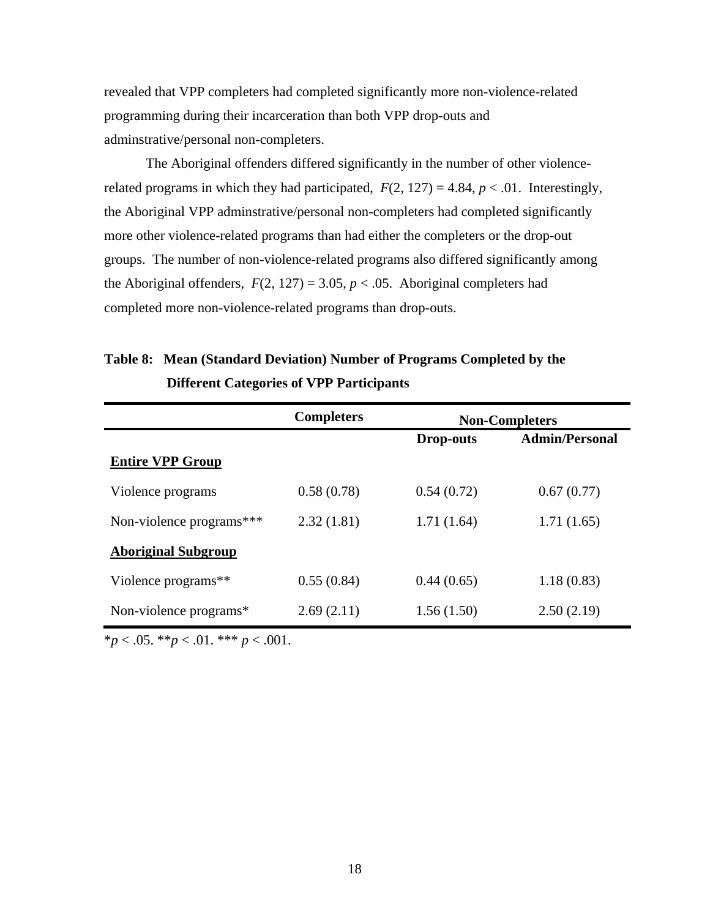revealed that VPP completers had completed significantly more non-violence-related programming during their incarceration than both VPP drop-outs and adminstrative/personal non-completers.

The Aboriginal offenders differed significantly in the number of other violencerelated programs in which they had participated,  $F(2, 127) = 4.84$ ,  $p < .01$ . Interestingly, the Aboriginal VPP adminstrative/personal non-completers had completed significantly more other violence-related programs than had either the completers or the drop-out groups. The number of non-violence-related programs also differed significantly among the Aboriginal offenders,  $F(2, 127) = 3.05$ ,  $p < .05$ . Aboriginal completers had completed more non-violence-related programs than drop-outs.

# **Table 8: Mean (Standard Deviation) Number of Programs Completed by the Different Categories of VPP Participants**

|                            | <b>Completers</b> | <b>Non-Completers</b> |                       |
|----------------------------|-------------------|-----------------------|-----------------------|
|                            |                   | <b>Drop-outs</b>      | <b>Admin/Personal</b> |
| <b>Entire VPP Group</b>    |                   |                       |                       |
| Violence programs          | 0.58(0.78)        | 0.54(0.72)            | 0.67(0.77)            |
| Non-violence programs***   | 2.32(1.81)        | 1.71(1.64)            | 1.71(1.65)            |
| <b>Aboriginal Subgroup</b> |                   |                       |                       |
| Violence programs**        | 0.55(0.84)        | 0.44(0.65)            | 1.18(0.83)            |
| Non-violence programs*     | 2.69(2.11)        | 1.56(1.50)            | 2.50(2.19)            |

 $*_{p}$  < .05.  $*_{p}$  < .01.  $*_{p}$  < .001.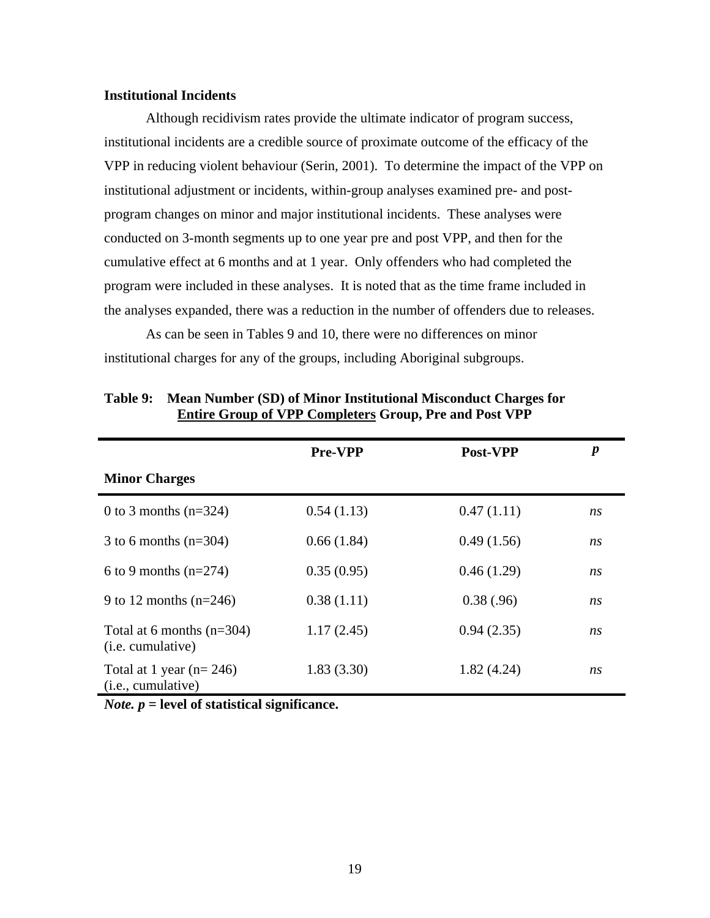### **Institutional Incidents**

 Although recidivism rates provide the ultimate indicator of program success, institutional incidents are a credible source of proximate outcome of the efficacy of the VPP in reducing violent behaviour (Serin, 2001). To determine the impact of the VPP on institutional adjustment or incidents, within-group analyses examined pre- and postprogram changes on minor and major institutional incidents. These analyses were conducted on 3-month segments up to one year pre and post VPP, and then for the cumulative effect at 6 months and at 1 year. Only offenders who had completed the program were included in these analyses. It is noted that as the time frame included in the analyses expanded, there was a reduction in the number of offenders due to releases.

 As can be seen in Tables 9 and 10, there were no differences on minor institutional charges for any of the groups, including Aboriginal subgroups.

|                                                              | <b>Pre-VPP</b> | Post-VPP   | $\boldsymbol{p}$ |
|--------------------------------------------------------------|----------------|------------|------------------|
| <b>Minor Charges</b>                                         |                |            |                  |
| 0 to 3 months $(n=324)$                                      | 0.54(1.13)     | 0.47(1.11) | ns               |
| 3 to 6 months $(n=304)$                                      | 0.66(1.84)     | 0.49(1.56) | ns               |
| 6 to 9 months $(n=274)$                                      | 0.35(0.95)     | 0.46(1.29) | ns               |
| 9 to 12 months $(n=246)$                                     | 0.38(1.11)     | 0.38(.96)  | ns               |
| Total at 6 months $(n=304)$<br>( <i>i.e.</i> cumulative)     | 1.17(2.45)     | 0.94(2.35) | ns               |
| Total at 1 year ( $n = 246$ )<br>( <i>i.e.</i> , cumulative) | 1.83(3.30)     | 1.82(4.24) | ns               |

**Table 9: Mean Number (SD) of Minor Institutional Misconduct Charges for Entire Group of VPP Completers Group, Pre and Post VPP** 

*Note. p* **= level of statistical significance.**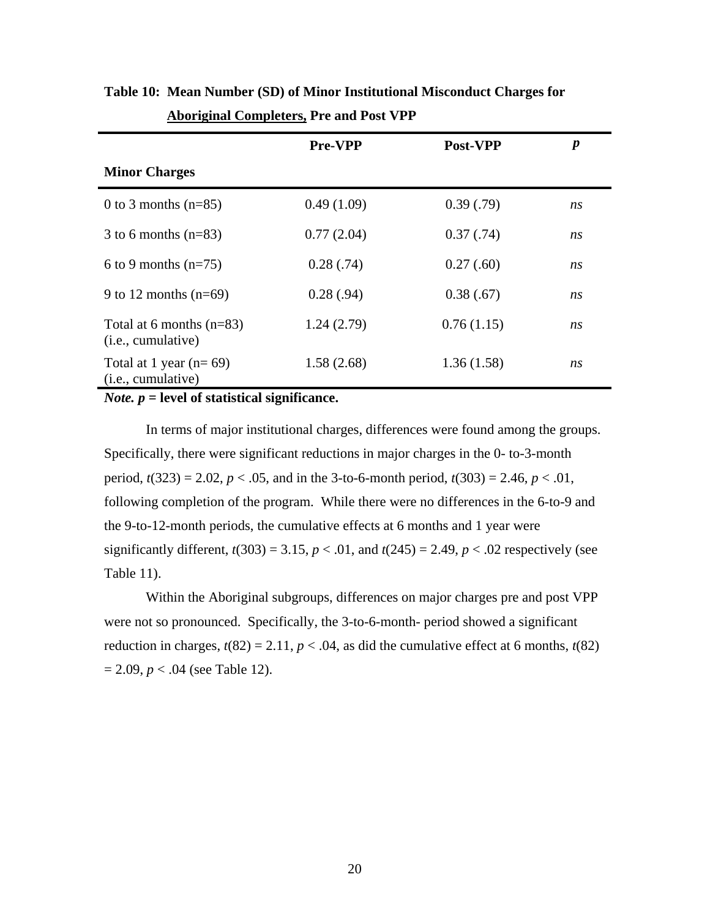|                                                           | <b>Pre-VPP</b> | Post-VPP   | p  |
|-----------------------------------------------------------|----------------|------------|----|
| <b>Minor Charges</b>                                      |                |            |    |
| 0 to 3 months $(n=85)$                                    | 0.49(1.09)     | 0.39(0.79) | ns |
| 3 to 6 months $(n=83)$                                    | 0.77(2.04)     | 0.37(0.74) | ns |
| 6 to 9 months $(n=75)$                                    | 0.28(.74)      | 0.27(.60)  | ns |
| 9 to 12 months $(n=69)$                                   | 0.28(.94)      | 0.38(.67)  | ns |
| Total at 6 months $(n=83)$<br>( <i>i.e.</i> , cumulative) | 1.24(2.79)     | 0.76(1.15) | ns |
| Total at 1 year $(n=69)$<br>( <i>i.e.</i> , cumulative)   | 1.58(2.68)     | 1.36(1.58) | ns |

**Table 10: Mean Number (SD) of Minor Institutional Misconduct Charges for Aboriginal Completers, Pre and Post VPP** 

*Note. p* **= level of statistical significance.**

In terms of major institutional charges, differences were found among the groups. Specifically, there were significant reductions in major charges in the 0- to-3-month period,  $t(323) = 2.02$ ,  $p < .05$ , and in the 3-to-6-month period,  $t(303) = 2.46$ ,  $p < .01$ , following completion of the program. While there were no differences in the 6-to-9 and the 9-to-12-month periods, the cumulative effects at 6 months and 1 year were significantly different,  $t(303) = 3.15$ ,  $p < .01$ , and  $t(245) = 2.49$ ,  $p < .02$  respectively (see Table 11).

Within the Aboriginal subgroups, differences on major charges pre and post VPP were not so pronounced. Specifically, the 3-to-6-month- period showed a significant reduction in charges,  $t(82) = 2.11$ ,  $p < .04$ , as did the cumulative effect at 6 months,  $t(82)$  $= 2.09, p < .04$  (see Table 12).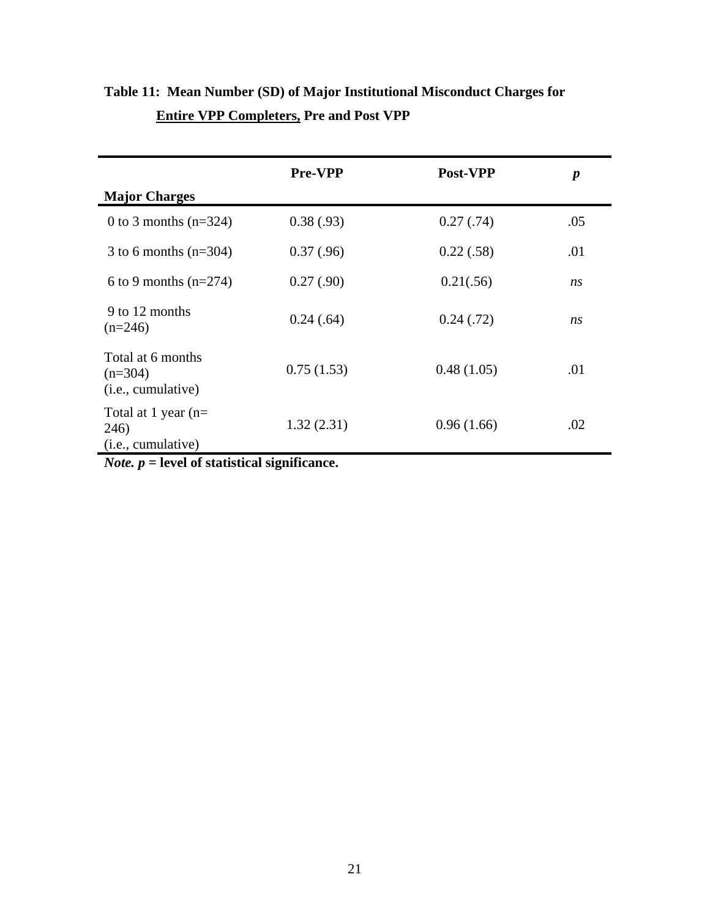|                                                               | <b>Pre-VPP</b> | Post-VPP   | $\boldsymbol{p}$ |
|---------------------------------------------------------------|----------------|------------|------------------|
| <b>Major Charges</b>                                          |                |            |                  |
| 0 to 3 months $(n=324)$                                       | 0.38(.93)      | 0.27(0.74) | .05              |
| 3 to 6 months $(n=304)$                                       | 0.37(0.96)     | 0.22(.58)  | .01              |
| 6 to 9 months $(n=274)$                                       | 0.27(.90)      | 0.21(.56)  | n <sub>S</sub>   |
| 9 to 12 months<br>$(n=246)$                                   | 0.24(.64)      | 0.24(0.72) | ns               |
| Total at 6 months<br>$(n=304)$<br>( <i>i.e.</i> , cumulative) | 0.75(1.53)     | 0.48(1.05) | .01              |
| Total at 1 year $(n=$<br>246)<br>(i.e., cumulative)           | 1.32(2.31)     | 0.96(1.66) | .02              |

# **Table 11: Mean Number (SD) of Major Institutional Misconduct Charges for Entire VPP Completers, Pre and Post VPP**

*Note. p* **= level of statistical significance.**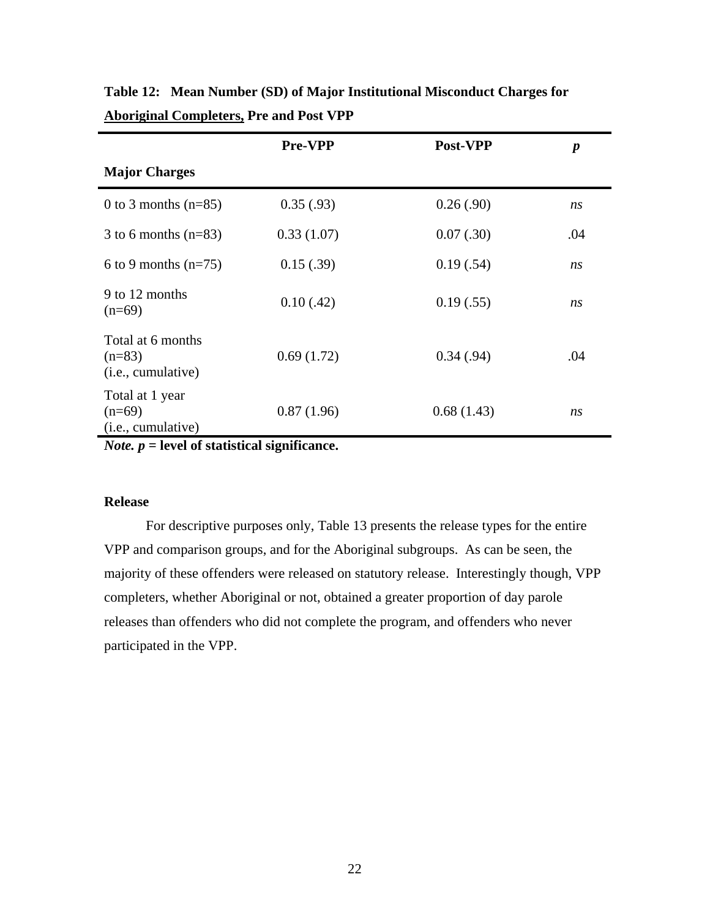|                                                              | Pre-VPP    | Post-VPP   | $\boldsymbol{p}$ |
|--------------------------------------------------------------|------------|------------|------------------|
| <b>Major Charges</b>                                         |            |            |                  |
| 0 to 3 months $(n=85)$                                       | 0.35(.93)  | 0.26(.90)  | ns               |
| 3 to 6 months $(n=83)$                                       | 0.33(1.07) | 0.07(.30)  | .04              |
| 6 to 9 months $(n=75)$                                       | 0.15(.39)  | 0.19(.54)  | ns               |
| 9 to 12 months<br>$(n=69)$                                   | 0.10(0.42) | 0.19(.55)  | ns               |
| Total at 6 months<br>$(n=83)$<br>( <i>i.e.</i> , cumulative) | 0.69(1.72) | 0.34(0.94) | .04              |
| Total at 1 year<br>$(n=69)$<br>( <i>i.e.</i> , cumulative)   | 0.87(1.96) | 0.68(1.43) | ns               |

**Table 12: Mean Number (SD) of Major Institutional Misconduct Charges for Aboriginal Completers, Pre and Post VPP** 

*Note. p* **= level of statistical significance.**

### **Release**

 For descriptive purposes only, Table 13 presents the release types for the entire VPP and comparison groups, and for the Aboriginal subgroups. As can be seen, the majority of these offenders were released on statutory release. Interestingly though, VPP completers, whether Aboriginal or not, obtained a greater proportion of day parole releases than offenders who did not complete the program, and offenders who never participated in the VPP.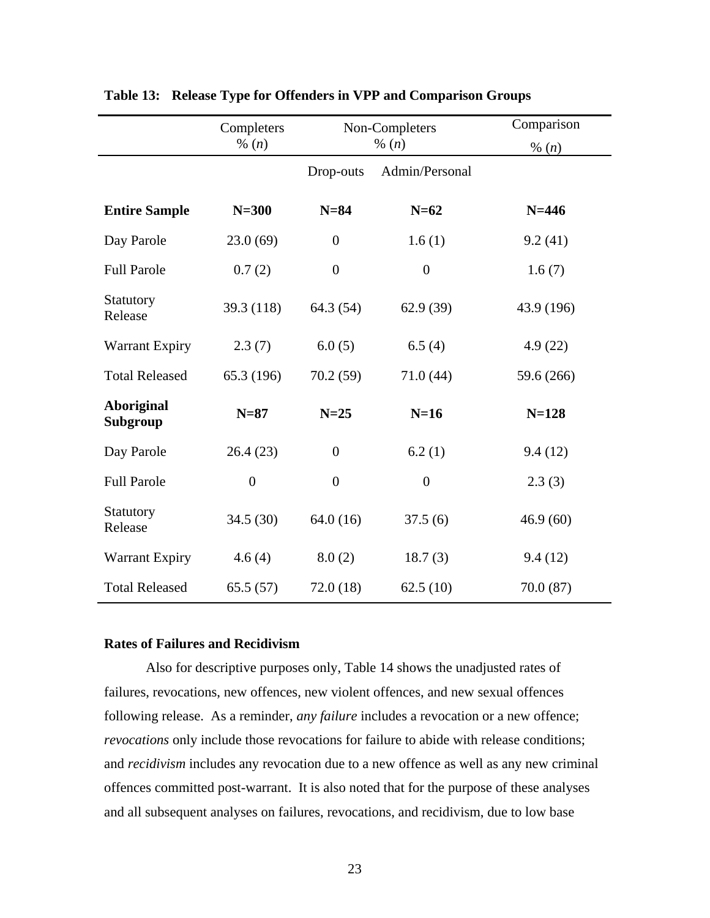|                               | Completers       | Non-Completers<br>% $(n)$ |                  | Comparison |
|-------------------------------|------------------|---------------------------|------------------|------------|
|                               | % $(n)$          |                           |                  | % $(n)$    |
|                               |                  | Drop-outs                 | Admin/Personal   |            |
| <b>Entire Sample</b>          | $N=300$          | $N=84$                    | $N=62$           | $N = 446$  |
| Day Parole                    | 23.0(69)         | $\boldsymbol{0}$          | 1.6(1)           | 9.2(41)    |
| <b>Full Parole</b>            | 0.7(2)           | $\boldsymbol{0}$          | $\boldsymbol{0}$ | 1.6(7)     |
| Statutory<br>Release          | 39.3 (118)       | 64.3 (54)                 | 62.9(39)         | 43.9 (196) |
| <b>Warrant Expiry</b>         | 2.3(7)           | 6.0(5)                    | 6.5(4)           | 4.9(22)    |
| <b>Total Released</b>         | 65.3 (196)       | 70.2(59)                  | 71.0(44)         | 59.6 (266) |
| <b>Aboriginal</b><br>Subgroup | $N=87$           | $N=25$                    | $N=16$           | $N = 128$  |
| Day Parole                    | 26.4(23)         | $\boldsymbol{0}$          | 6.2(1)           | 9.4(12)    |
| <b>Full Parole</b>            | $\boldsymbol{0}$ | $\overline{0}$            | $\theta$         | 2.3(3)     |
| <b>Statutory</b><br>Release   | 34.5 (30)        | 64.0(16)                  | 37.5(6)          | 46.9(60)   |
| <b>Warrant Expiry</b>         | 4.6(4)           | 8.0(2)                    | 18.7(3)          | 9.4(12)    |
| <b>Total Released</b>         | 65.5(57)         | 72.0(18)                  | 62.5(10)         | 70.0(87)   |

### **Table 13: Release Type for Offenders in VPP and Comparison Groups**

### **Rates of Failures and Recidivism**

Also for descriptive purposes only, Table 14 shows the unadjusted rates of failures, revocations, new offences, new violent offences, and new sexual offences following release. As a reminder, *any failure* includes a revocation or a new offence; *revocations* only include those revocations for failure to abide with release conditions; and *recidivism* includes any revocation due to a new offence as well as any new criminal offences committed post-warrant. It is also noted that for the purpose of these analyses and all subsequent analyses on failures, revocations, and recidivism, due to low base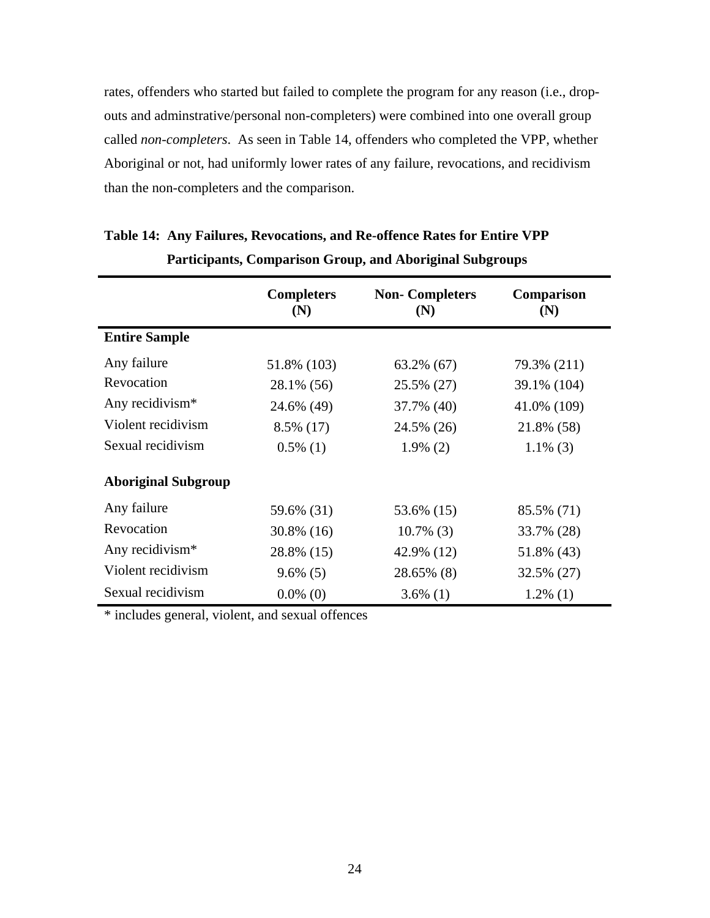rates, offenders who started but failed to complete the program for any reason (i.e., dropouts and adminstrative/personal non-completers) were combined into one overall group called *non-completers*. As seen in Table 14, offenders who completed the VPP, whether Aboriginal or not, had uniformly lower rates of any failure, revocations, and recidivism than the non-completers and the comparison.

|                             | <b>Completers</b><br>(N) | <b>Non-Completers</b><br>(N) | Comparison<br>(N) |
|-----------------------------|--------------------------|------------------------------|-------------------|
| <b>Entire Sample</b>        |                          |                              |                   |
| Any failure                 | 51.8% (103)              | 63.2% (67)                   | 79.3% (211)       |
| Revocation                  | 28.1% (56)               | 25.5% (27)                   | 39.1% (104)       |
| Any recidivism <sup>*</sup> | 24.6% (49)               | 37.7% (40)                   | 41.0% (109)       |
| Violent recidivism          | 8.5% (17)                | 24.5% (26)                   | 21.8% (58)        |
| Sexual recidivism           | $0.5\%$ (1)              | $1.9\%$ (2)                  | $1.1\%$ (3)       |
| <b>Aboriginal Subgroup</b>  |                          |                              |                   |
| Any failure                 | 59.6% (31)               | 53.6% (15)                   | 85.5% (71)        |
| Revocation                  | 30.8% (16)               | $10.7\%$ (3)                 | 33.7% (28)        |
| Any recidivism <sup>*</sup> | 28.8% (15)               | 42.9% (12)                   | 51.8% (43)        |
| Violent recidivism          | $9.6\%$ (5)              | 28.65% (8)                   | 32.5% (27)        |
| Sexual recidivism           | $0.0\%$ (0)              | $3.6\%$ (1)                  | $1.2\%$ (1)       |

# **Table 14: Any Failures, Revocations, and Re-offence Rates for Entire VPP Participants, Comparison Group, and Aboriginal Subgroups**

\* includes general, violent, and sexual offences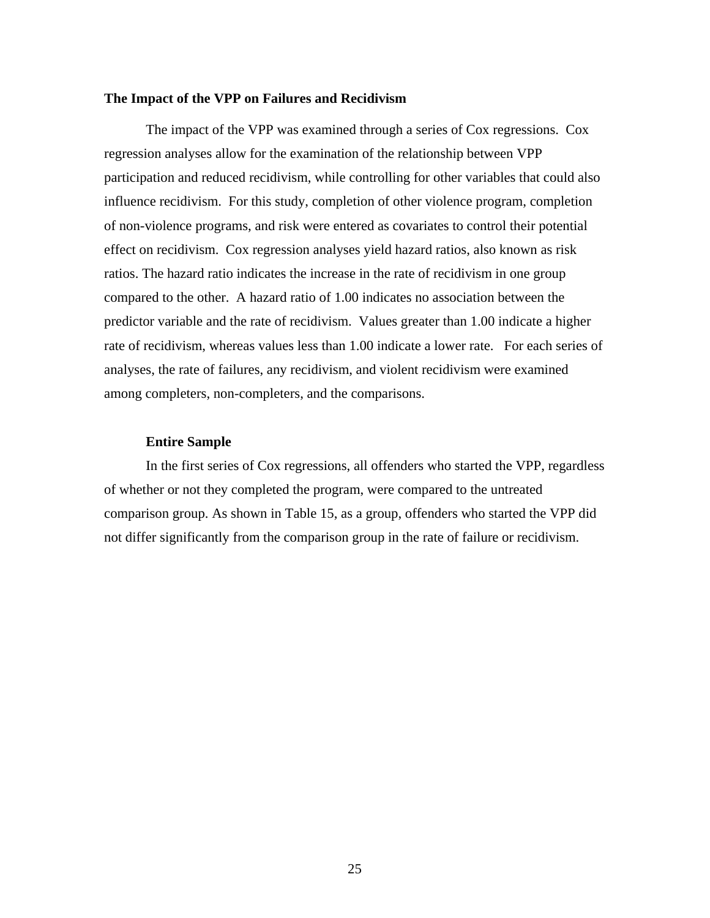### **The Impact of the VPP on Failures and Recidivism**

The impact of the VPP was examined through a series of Cox regressions. Cox regression analyses allow for the examination of the relationship between VPP participation and reduced recidivism, while controlling for other variables that could also influence recidivism. For this study, completion of other violence program, completion of non-violence programs, and risk were entered as covariates to control their potential effect on recidivism. Cox regression analyses yield hazard ratios, also known as risk ratios. The hazard ratio indicates the increase in the rate of recidivism in one group compared to the other. A hazard ratio of 1.00 indicates no association between the predictor variable and the rate of recidivism. Values greater than 1.00 indicate a higher rate of recidivism, whereas values less than 1.00 indicate a lower rate. For each series of analyses, the rate of failures, any recidivism, and violent recidivism were examined among completers, non-completers, and the comparisons.

### **Entire Sample**

In the first series of Cox regressions, all offenders who started the VPP, regardless of whether or not they completed the program, were compared to the untreated comparison group. As shown in Table 15, as a group, offenders who started the VPP did not differ significantly from the comparison group in the rate of failure or recidivism.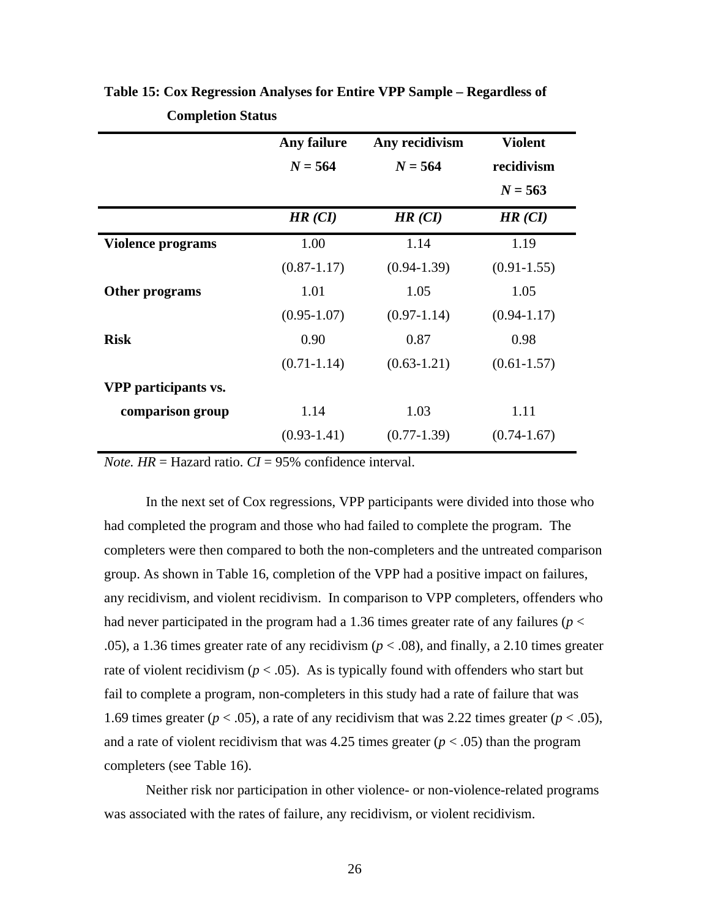|                          | Any failure     | Any recidivism  | <b>Violent</b>  |
|--------------------------|-----------------|-----------------|-----------------|
|                          | $N = 564$       | $N = 564$       | recidivism      |
|                          |                 |                 | $N = 563$       |
|                          | HR (CI)         | HR (CI)         | HR (CI)         |
| <b>Violence programs</b> | 1.00            | 1.14            | 1.19            |
|                          | $(0.87 - 1.17)$ | $(0.94 - 1.39)$ | $(0.91 - 1.55)$ |
| Other programs           | 1.01            | 1.05            | 1.05            |
|                          | $(0.95 - 1.07)$ | $(0.97 - 1.14)$ | $(0.94 - 1.17)$ |
| <b>Risk</b>              | 0.90            | 0.87            | 0.98            |
|                          | $(0.71 - 1.14)$ | $(0.63 - 1.21)$ | $(0.61 - 1.57)$ |
| VPP participants vs.     |                 |                 |                 |
| comparison group         | 1.14            | 1.03            | 1.11            |
|                          | $(0.93 - 1.41)$ | $(0.77 - 1.39)$ | $(0.74 - 1.67)$ |
|                          |                 |                 |                 |

**Table 15: Cox Regression Analyses for Entire VPP Sample – Regardless of Completion Status** 

*Note.*  $HR =$  Hazard ratio.  $CI = 95\%$  confidence interval.

In the next set of Cox regressions, VPP participants were divided into those who had completed the program and those who had failed to complete the program. The completers were then compared to both the non-completers and the untreated comparison group. As shown in Table 16, completion of the VPP had a positive impact on failures, any recidivism, and violent recidivism. In comparison to VPP completers, offenders who had never participated in the program had a 1.36 times greater rate of any failures (*p* < .05), a 1.36 times greater rate of any recidivism ( $p < .08$ ), and finally, a 2.10 times greater rate of violent recidivism ( $p < .05$ ). As is typically found with offenders who start but fail to complete a program, non-completers in this study had a rate of failure that was 1.69 times greater ( $p < .05$ ), a rate of any recidivism that was 2.22 times greater ( $p < .05$ ), and a rate of violent recidivism that was 4.25 times greater  $(p < .05)$  than the program completers (see Table 16).

Neither risk nor participation in other violence- or non-violence-related programs was associated with the rates of failure, any recidivism, or violent recidivism.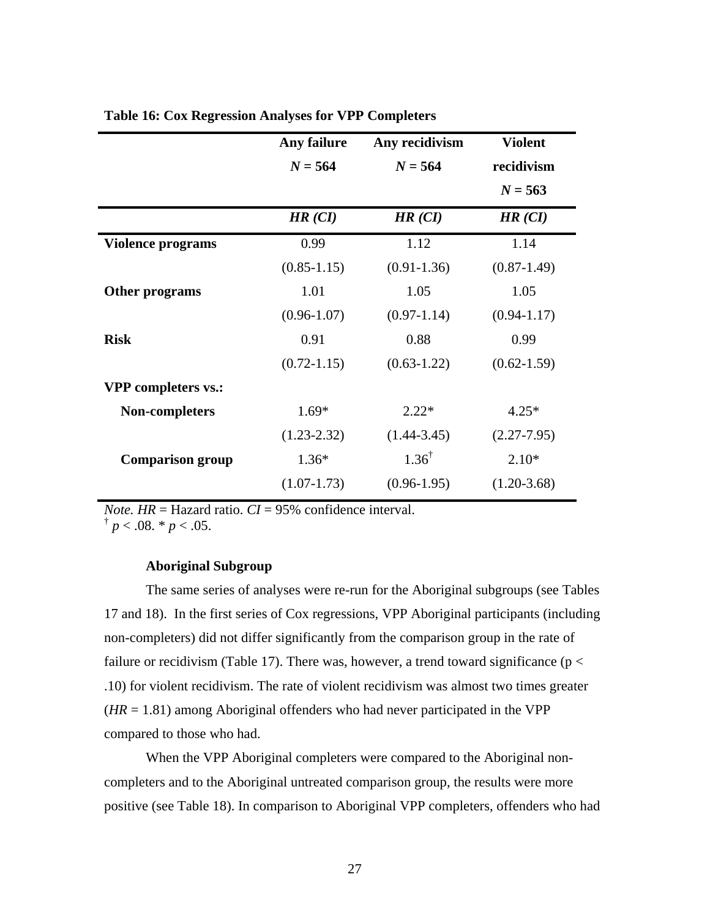| Any failure     | Any recidivism   | <b>Violent</b>  |
|-----------------|------------------|-----------------|
| $N = 564$       | $N = 564$        | recidivism      |
|                 |                  | $N = 563$       |
| HR (CI)         | HR (CI)          | HR (CI)         |
| 0.99            | 1.12             | 1.14            |
| $(0.85 - 1.15)$ | $(0.91 - 1.36)$  | $(0.87 - 1.49)$ |
| 1.01            | 1.05             | 1.05            |
| $(0.96 - 1.07)$ | $(0.97 - 1.14)$  | $(0.94 - 1.17)$ |
| 0.91            | 0.88             | 0.99            |
| $(0.72 - 1.15)$ | $(0.63 - 1.22)$  | $(0.62 - 1.59)$ |
|                 |                  |                 |
| $1.69*$         | $2.22*$          | $4.25*$         |
| $(1.23 - 2.32)$ | $(1.44 - 3.45)$  | $(2.27 - 7.95)$ |
| $1.36*$         | $1.36^{\dagger}$ | $2.10*$         |
| $(1.07 - 1.73)$ | $(0.96-1.95)$    | $(1.20-3.68)$   |
|                 |                  |                 |

### **Table 16: Cox Regression Analyses for VPP Completers**

*Note.*  $HR = \text{Hazard ratio}$ .  $CI = 95\%$  confidence interval.

 $\frac{1}{p}$  *< .*08. \* *p* < .05.

### **Aboriginal Subgroup**

The same series of analyses were re-run for the Aboriginal subgroups (see Tables 17 and 18). In the first series of Cox regressions, VPP Aboriginal participants (including non-completers) did not differ significantly from the comparison group in the rate of failure or recidivism (Table 17). There was, however, a trend toward significance ( $p <$ .10) for violent recidivism. The rate of violent recidivism was almost two times greater  $(HR = 1.81)$  among Aboriginal offenders who had never participated in the VPP compared to those who had.

When the VPP Aboriginal completers were compared to the Aboriginal noncompleters and to the Aboriginal untreated comparison group, the results were more positive (see Table 18). In comparison to Aboriginal VPP completers, offenders who had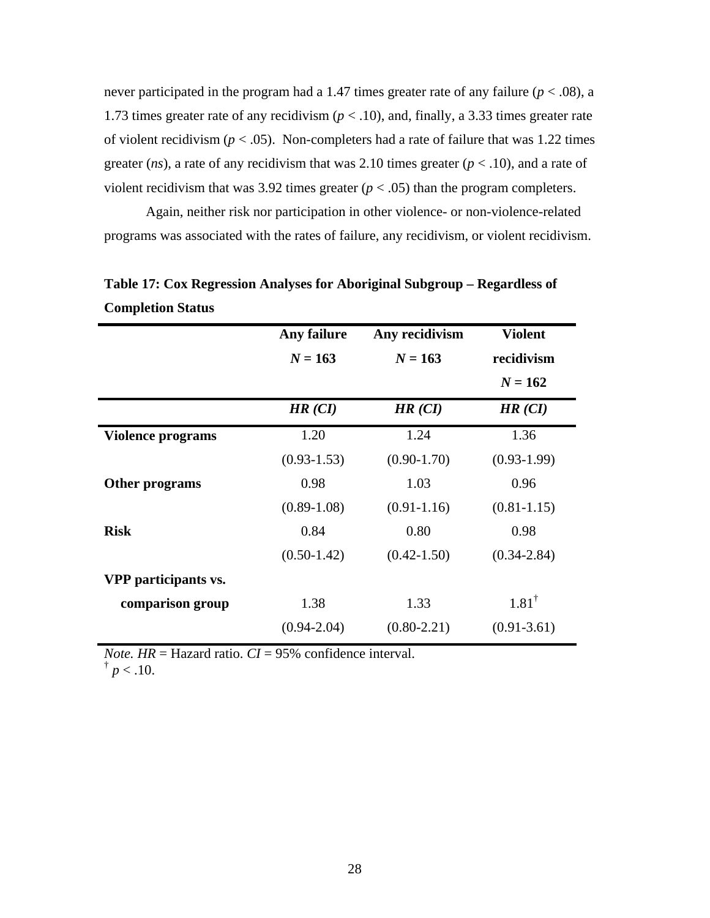never participated in the program had a 1.47 times greater rate of any failure  $(p < .08)$ , a 1.73 times greater rate of any recidivism ( $p < 0.10$ ), and, finally, a 3.33 times greater rate of violent recidivism ( $p < .05$ ). Non-completers had a rate of failure that was 1.22 times greater (*ns*), a rate of any recidivism that was 2.10 times greater ( $p < .10$ ), and a rate of violent recidivism that was 3.92 times greater  $(p < .05)$  than the program completers.

 Again, neither risk nor participation in other violence- or non-violence-related programs was associated with the rates of failure, any recidivism, or violent recidivism.

|                          | Any failure     | Any recidivism  | <b>Violent</b>   |
|--------------------------|-----------------|-----------------|------------------|
|                          | $N = 163$       | $N = 163$       | recidivism       |
|                          |                 |                 |                  |
|                          |                 |                 | $N = 162$        |
|                          | HR (CI)         | HR (CI)         | HR (CI)          |
| <b>Violence programs</b> | 1.20            | 1.24            | 1.36             |
|                          | $(0.93 - 1.53)$ | $(0.90 - 1.70)$ | $(0.93-1.99)$    |
| Other programs           | 0.98            | 1.03            | 0.96             |
|                          | $(0.89 - 1.08)$ | $(0.91 - 1.16)$ | $(0.81 - 1.15)$  |
| <b>Risk</b>              | 0.84            | 0.80            | 0.98             |
|                          | $(0.50-1.42)$   | $(0.42 - 1.50)$ | $(0.34 - 2.84)$  |
| VPP participants vs.     |                 |                 |                  |
| comparison group         | 1.38            | 1.33            | $1.81^{\dagger}$ |
|                          | $(0.94 - 2.04)$ | $(0.80 - 2.21)$ | $(0.91 - 3.61)$  |

**Table 17: Cox Regression Analyses for Aboriginal Subgroup – Regardless of Completion Status** 

*Note.*  $HR = \text{Hazard ratio}$ .  $CI = 95\%$  confidence interval.

 $\frac{1}{p}$  /  $> 0.10$ .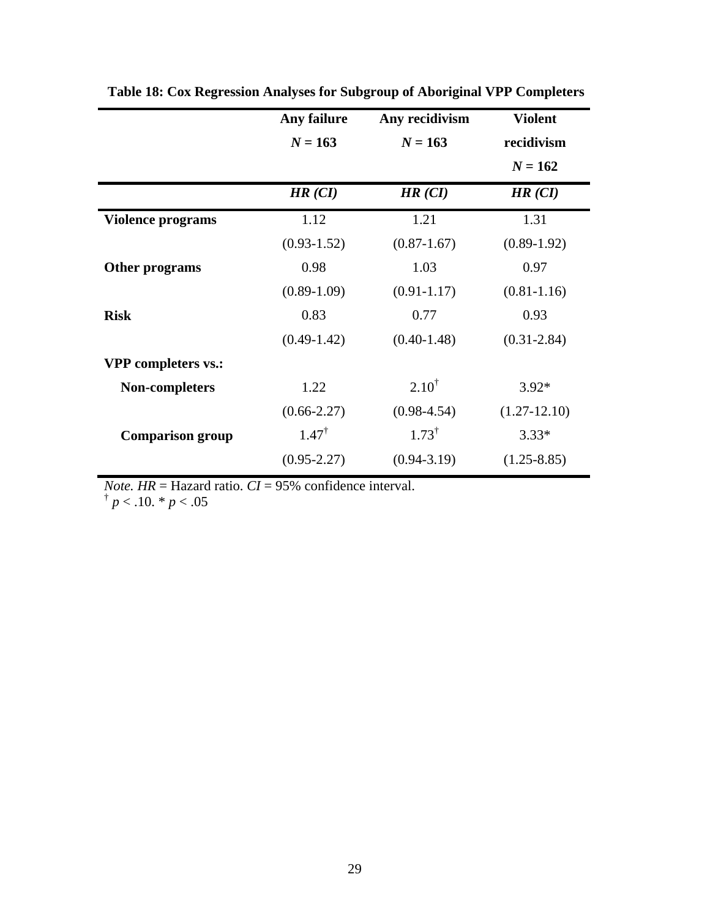|                            | Any failure      | Any recidivism   | <b>Violent</b>  |
|----------------------------|------------------|------------------|-----------------|
|                            | $N = 163$        | $N = 163$        | recidivism      |
|                            |                  |                  | $N = 162$       |
|                            | HR (CI)          | HR (CI)          | HR (CI)         |
| <b>Violence programs</b>   | 1.12             | 1.21             | 1.31            |
|                            | $(0.93 - 1.52)$  | $(0.87 - 1.67)$  | $(0.89-1.92)$   |
| Other programs             | 0.98             | 1.03             | 0.97            |
|                            | $(0.89-1.09)$    | $(0.91 - 1.17)$  | $(0.81 - 1.16)$ |
| <b>Risk</b>                | 0.83             | 0.77             | 0.93            |
|                            | $(0.49-1.42)$    | $(0.40 - 1.48)$  | $(0.31 - 2.84)$ |
| <b>VPP</b> completers vs.: |                  |                  |                 |
| Non-completers             | 1.22             | $2.10^{\dagger}$ | $3.92*$         |
|                            | $(0.66 - 2.27)$  | $(0.98 - 4.54)$  | $(1.27-12.10)$  |
| <b>Comparison group</b>    | $1.47^{\dagger}$ | $1.73^{\dagger}$ | $3.33*$         |
|                            | $(0.95 - 2.27)$  | $(0.94 - 3.19)$  | $(1.25 - 8.85)$ |
|                            |                  |                  |                 |

 **Table 18: Cox Regression Analyses for Subgroup of Aboriginal VPP Completers**

*Note. HR* = Hazard ratio. *CI* = 95% confidence interval.  $\int_{0}^{b} p < .10$ . \* *p* < .05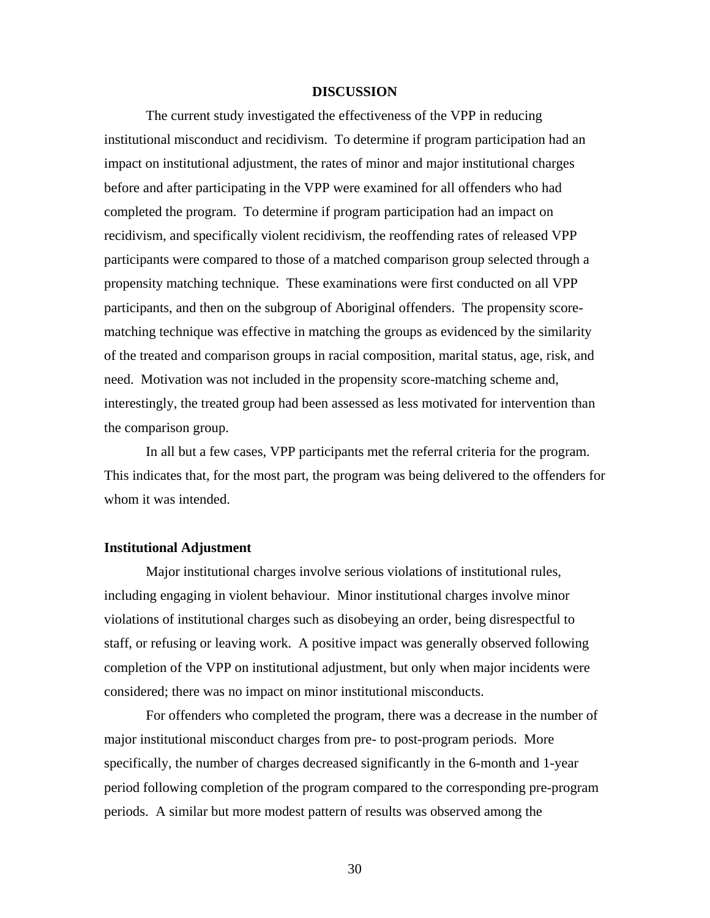### **DISCUSSION**

 The current study investigated the effectiveness of the VPP in reducing institutional misconduct and recidivism. To determine if program participation had an impact on institutional adjustment, the rates of minor and major institutional charges before and after participating in the VPP were examined for all offenders who had completed the program. To determine if program participation had an impact on recidivism, and specifically violent recidivism, the reoffending rates of released VPP participants were compared to those of a matched comparison group selected through a propensity matching technique. These examinations were first conducted on all VPP participants, and then on the subgroup of Aboriginal offenders. The propensity scorematching technique was effective in matching the groups as evidenced by the similarity of the treated and comparison groups in racial composition, marital status, age, risk, and need. Motivation was not included in the propensity score-matching scheme and, interestingly, the treated group had been assessed as less motivated for intervention than the comparison group.

 In all but a few cases, VPP participants met the referral criteria for the program. This indicates that, for the most part, the program was being delivered to the offenders for whom it was intended.

### **Institutional Adjustment**

 Major institutional charges involve serious violations of institutional rules, including engaging in violent behaviour. Minor institutional charges involve minor violations of institutional charges such as disobeying an order, being disrespectful to staff, or refusing or leaving work. A positive impact was generally observed following completion of the VPP on institutional adjustment, but only when major incidents were considered; there was no impact on minor institutional misconducts.

 For offenders who completed the program, there was a decrease in the number of major institutional misconduct charges from pre- to post-program periods. More specifically, the number of charges decreased significantly in the 6-month and 1-year period following completion of the program compared to the corresponding pre-program periods. A similar but more modest pattern of results was observed among the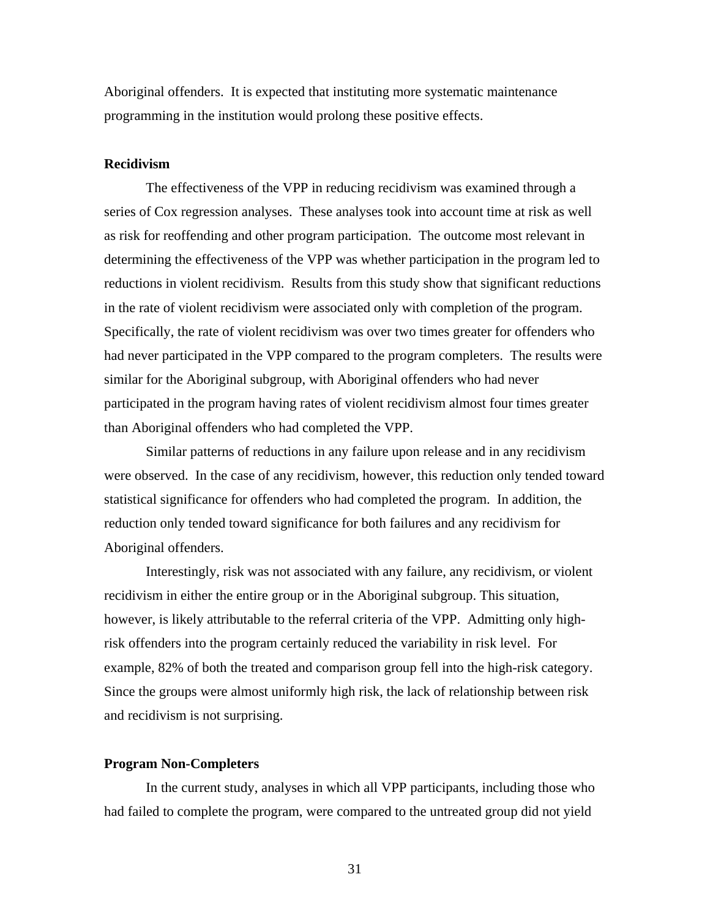Aboriginal offenders. It is expected that instituting more systematic maintenance programming in the institution would prolong these positive effects.

#### **Recidivism**

 The effectiveness of the VPP in reducing recidivism was examined through a series of Cox regression analyses. These analyses took into account time at risk as well as risk for reoffending and other program participation. The outcome most relevant in determining the effectiveness of the VPP was whether participation in the program led to reductions in violent recidivism. Results from this study show that significant reductions in the rate of violent recidivism were associated only with completion of the program. Specifically, the rate of violent recidivism was over two times greater for offenders who had never participated in the VPP compared to the program completers. The results were similar for the Aboriginal subgroup, with Aboriginal offenders who had never participated in the program having rates of violent recidivism almost four times greater than Aboriginal offenders who had completed the VPP.

Similar patterns of reductions in any failure upon release and in any recidivism were observed. In the case of any recidivism, however, this reduction only tended toward statistical significance for offenders who had completed the program. In addition, the reduction only tended toward significance for both failures and any recidivism for Aboriginal offenders.

Interestingly, risk was not associated with any failure, any recidivism, or violent recidivism in either the entire group or in the Aboriginal subgroup. This situation, however, is likely attributable to the referral criteria of the VPP. Admitting only highrisk offenders into the program certainly reduced the variability in risk level. For example, 82% of both the treated and comparison group fell into the high-risk category. Since the groups were almost uniformly high risk, the lack of relationship between risk and recidivism is not surprising.

### **Program Non-Completers**

In the current study, analyses in which all VPP participants, including those who had failed to complete the program, were compared to the untreated group did not yield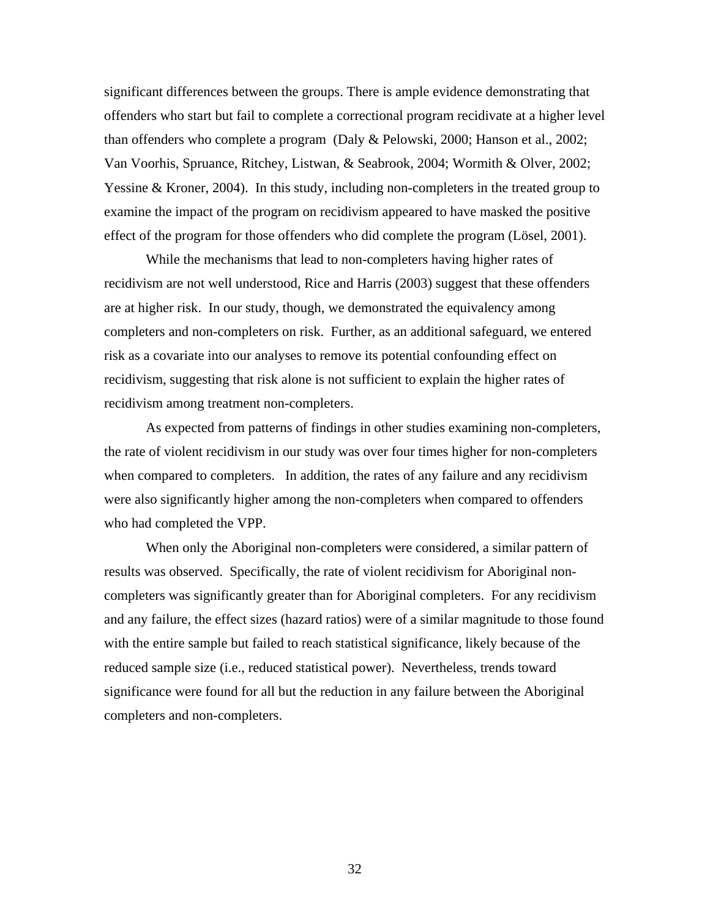significant differences between the groups. There is ample evidence demonstrating that offenders who start but fail to complete a correctional program recidivate at a higher level than offenders who complete a program (Daly & Pelowski, 2000; Hanson et al., 2002; Van Voorhis, Spruance, Ritchey, Listwan, & Seabrook, 2004; Wormith & Olver, 2002; Yessine & Kroner, 2004). In this study, including non-completers in the treated group to examine the impact of the program on recidivism appeared to have masked the positive effect of the program for those offenders who did complete the program (Lösel, 2001).

While the mechanisms that lead to non-completers having higher rates of recidivism are not well understood, Rice and Harris (2003) suggest that these offenders are at higher risk. In our study, though, we demonstrated the equivalency among completers and non-completers on risk. Further, as an additional safeguard, we entered risk as a covariate into our analyses to remove its potential confounding effect on recidivism, suggesting that risk alone is not sufficient to explain the higher rates of recidivism among treatment non-completers.

As expected from patterns of findings in other studies examining non-completers, the rate of violent recidivism in our study was over four times higher for non-completers when compared to completers. In addition, the rates of any failure and any recidivism were also significantly higher among the non-completers when compared to offenders who had completed the VPP.

When only the Aboriginal non-completers were considered, a similar pattern of results was observed. Specifically, the rate of violent recidivism for Aboriginal noncompleters was significantly greater than for Aboriginal completers. For any recidivism and any failure, the effect sizes (hazard ratios) were of a similar magnitude to those found with the entire sample but failed to reach statistical significance, likely because of the reduced sample size (i.e., reduced statistical power). Nevertheless, trends toward significance were found for all but the reduction in any failure between the Aboriginal completers and non-completers.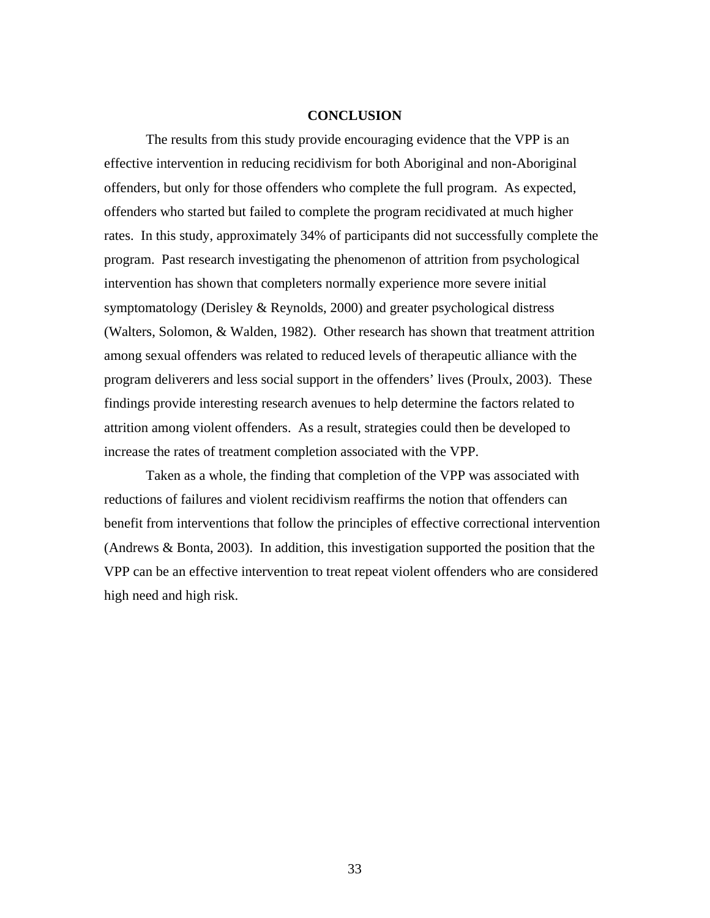### **CONCLUSION**

The results from this study provide encouraging evidence that the VPP is an effective intervention in reducing recidivism for both Aboriginal and non-Aboriginal offenders, but only for those offenders who complete the full program. As expected, offenders who started but failed to complete the program recidivated at much higher rates. In this study, approximately 34% of participants did not successfully complete the program. Past research investigating the phenomenon of attrition from psychological intervention has shown that completers normally experience more severe initial symptomatology (Derisley & Reynolds, 2000) and greater psychological distress (Walters, Solomon, & Walden, 1982). Other research has shown that treatment attrition among sexual offenders was related to reduced levels of therapeutic alliance with the program deliverers and less social support in the offenders' lives (Proulx, 2003). These findings provide interesting research avenues to help determine the factors related to attrition among violent offenders. As a result, strategies could then be developed to increase the rates of treatment completion associated with the VPP.

 Taken as a whole, the finding that completion of the VPP was associated with reductions of failures and violent recidivism reaffirms the notion that offenders can benefit from interventions that follow the principles of effective correctional intervention (Andrews & Bonta, 2003). In addition, this investigation supported the position that the VPP can be an effective intervention to treat repeat violent offenders who are considered high need and high risk.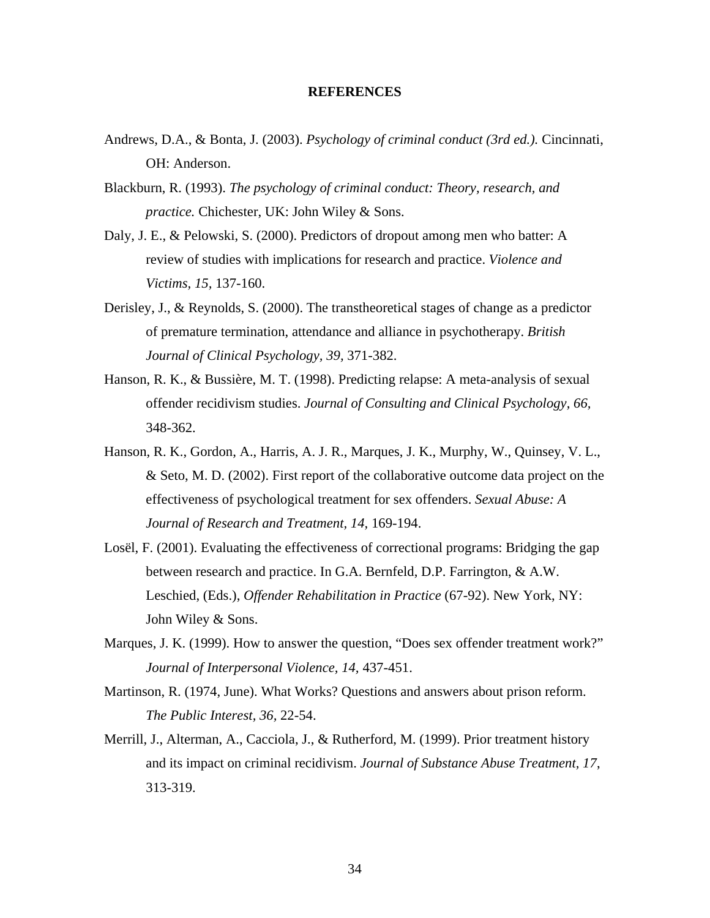### **REFERENCES**

- Andrews, D.A., & Bonta, J. (2003). *Psychology of criminal conduct (3rd ed.).* Cincinnati, OH: Anderson.
- Blackburn, R. (1993). *The psychology of criminal conduct: Theory, research, and practice.* Chichester, UK: John Wiley & Sons.
- Daly, J. E., & Pelowski, S. (2000). Predictors of dropout among men who batter: A review of studies with implications for research and practice. *Violence and Victims, 15,* 137-160.
- Derisley, J., & Reynolds, S. (2000). The transtheoretical stages of change as a predictor of premature termination, attendance and alliance in psychotherapy. *British Journal of Clinical Psychology, 39,* 371-382.
- Hanson, R. K., & Bussière, M. T. (1998). Predicting relapse: A meta-analysis of sexual offender recidivism studies. *Journal of Consulting and Clinical Psychology, 66,* 348-362.
- Hanson, R. K., Gordon, A., Harris, A. J. R., Marques, J. K., Murphy, W., Quinsey, V. L., & Seto, M. D. (2002). First report of the collaborative outcome data project on the effectiveness of psychological treatment for sex offenders. *Sexual Abuse: A Journal of Research and Treatment, 14,* 169-194.
- Losël, F. (2001). Evaluating the effectiveness of correctional programs: Bridging the gap between research and practice. In G.A. Bernfeld, D.P. Farrington, & A.W. Leschied, (Eds.), *Offender Rehabilitation in Practice* (67-92). New York, NY: John Wiley & Sons.
- Marques, J. K. (1999). How to answer the question, "Does sex offender treatment work?" *Journal of Interpersonal Violence, 14,* 437-451.
- Martinson, R. (1974, June). What Works? Questions and answers about prison reform. *The Public Interest, 36,* 22-54.
- Merrill, J., Alterman, A., Cacciola, J., & Rutherford, M. (1999). Prior treatment history and its impact on criminal recidivism. *Journal of Substance Abuse Treatment, 17*, 313-319.